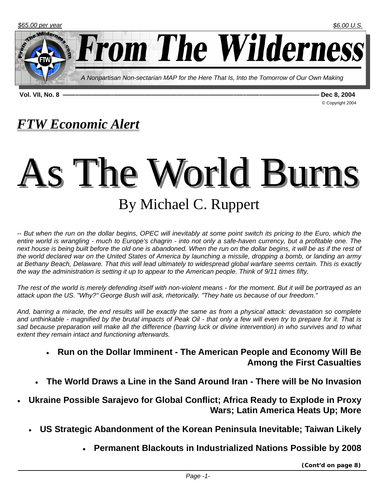

**Vol. VII, No. 8 ——–—————–———————————————————–—–——–————————— Dec 8, 2004** 

© Copyright 2004

# *FTW Economic Alert*

# As The World Burns By Michael C. Ruppert

*-- But when the run on the dollar begins, OPEC will inevitably at some point switch its pricing to the Euro, which the entire world is wrangling - much to Europe's chagrin - into not only a safe-haven currency, but a profitable one. The next house is being built before the old one is abandoned. When the run on the dollar begins, it will be as if the rest of the world declared war on the United States of America by launching a missile, dropping a bomb, or landing an army at Bethany Beach, Delaware. That this will lead ultimately to widespread global warfare seems certain. This is exactly the way the administration is setting it up to appear to the American people. Think of 9/11 times fifty.*

*The rest of the world is merely defending itself with non-violent means - for the moment. But it will be portrayed as an attack upon the US. "Why?" George Bush will ask, rhetorically. "They hate us because of our freedom."*

*And, barring a miracle, the end results will be exactly the same as from a physical attack: devastation so complete and unthinkable - magnified by the brutal impacts of Peak Oil - that only a few will even try to prepare for it. That is sad because preparation will make all the difference (barring luck or divine intervention) in who survives and to what extent they remain intact and functioning afterwards.* 

- **Run on the Dollar Imminent The American People and Economy Will Be Among the First Casualties**
- **The World Draws a Line in the Sand Around Iran There will be No Invasion**
- **Ukraine Possible Sarajevo for Global Conflict; Africa Ready to Explode in Proxy Wars; Latin America Heats Up; More** 
	- **US Strategic Abandonment of the Korean Peninsula Inevitable; Taiwan Likely** 
		- **Permanent Blackouts in Industrialized Nations Possible by 2008**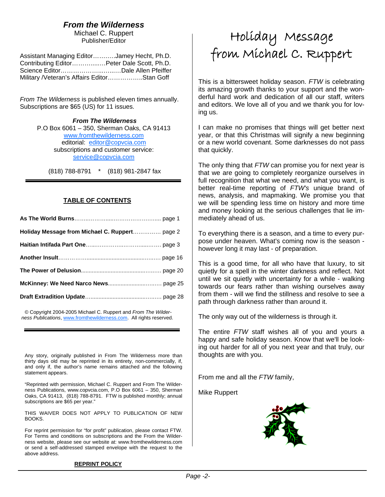#### *From the Wilderness*

Michael C. Ruppert Publisher/Editor

| Assistant Managing EditorJamey Hecht, Ph.D.  |  |
|----------------------------------------------|--|
| Contributing EditorPeter Dale Scott, Ph.D.   |  |
|                                              |  |
| Military / Veteran's Affairs EditorStan Goff |  |

*From The Wilderness* is published eleven times annually. Subscriptions are \$65 (US) for 11 issues.

> *From The Wilderness*  P.O Box 6061 – 350, Sherman Oaks, CA 91413 www.fromthewilderness.com editorial: editor@copvcia.com subscriptions and customer service: service@copvcia.com

(818) 788-8791 \* (818) 981-2847 fax

#### **TABLE OF CONTENTS**

© Copyright 2004-2005 Michael C. Ruppert and *From The Wilderness Publications*, www.fromthewilderness.com. All rights reserved.

j

Any story, originally published in From The Wilderness more than thirty days old may be reprinted in its entirety, non-commercially, if, and only if, the author's name remains attached and the following statement appears.

"Reprinted with permission, Michael C. Ruppert and From The Wilderness Publications, www.copvcia.com, P.O Box 6061 – 350, Sherman Oaks, CA 91413, (818) 788-8791. FTW is published monthly; annual subscriptions are \$65 per year."

THIS WAIVER DOES NOT APPLY TO PUBLICATION OF NEW BOOKS.

For reprint permission for "for profit" publication, please contact FTW. For Terms and conditions on subscriptions and the From the Wilderness website, please see our website at: www.fromthewilderness.com or send a self-addressed stamped envelope with the request to the above address.

# Holíday Message from Míchael C. Ruppert

This is a bittersweet holiday season. *FTW* is celebrating its amazing growth thanks to your support and the wonderful hard work and dedication of all our staff, writers and editors. We love all of you and we thank you for loving us.

I can make no promises that things will get better next year, or that this Christmas will signify a new beginning or a new world covenant. Some darknesses do not pass that quickly.

The only thing that *FTW* can promise you for next year is that we are going to completely reorganize ourselves in full recognition that what we need, and what you want, is better real-time reporting of *FTW's* unique brand of news, analysis, and mapmaking. We promise you that we will be spending less time on history and more time and money looking at the serious challenges that lie immediately ahead of us.

To everything there is a season, and a time to every purpose under heaven. What's coming now is the season however long it may last - of preparation.

This is a good time, for all who have that luxury, to sit quietly for a spell in the winter darkness and reflect. Not until we sit quietly with uncertainty for a while - walking towards our fears rather than wishing ourselves away from them - will we find the stillness and resolve to see a path through darkness rather than around it.

The only way out of the wilderness is through it.

The entire *FTW* staff wishes all of you and yours a happy and safe holiday season. Know that we'll be looking out harder for all of you next year and that truly, our thoughts are with you.

From me and all the *FTW* family,

Mike Ruppert

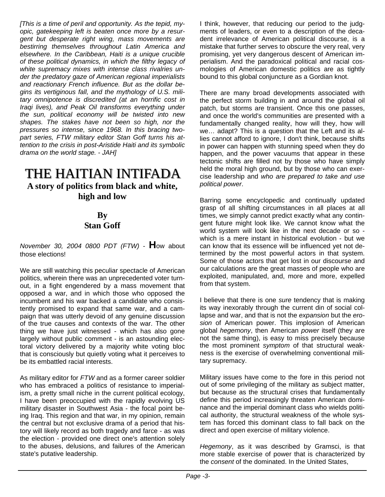*[This is a time of peril and opportunity. As the tepid, myopic, gatekeeping left is beaten once more by a resurgent but desperate right wing, mass movements are bestirring themselves throughout Latin America and elsewhere. In the Caribbean, Haiti is a unique crucible of these political dynamics, in which the filthy legacy of white supremacy mixes with intense class rivalries under the predatory gaze of American regional imperialists and reactionary French influence. But as the dollar begins its vertiginous fall, and the mythology of U.S. military omnipotence is discredited (at an horrific cost in Iraqi lives), and Peak Oil transforms everything under the sun, political economy will be twisted into new shapes. The stakes have not been so high, nor the pressures so intense, since 1968. In this bracing twopart series, FTW military editor Stan Goff turns his attention to the crisis in post-Aristide Haiti and its symbolic drama on the world stage. - JAH]*

#### THE HAITIAN INTIFADA **A story of politics from black and white, high and low**

#### **By Stan Goff**

*November 30, 2004 0800 PDT (FTW)* - **H**ow about those elections!

We are still watching this peculiar spectacle of American politics, wherein there was an unprecedented voter turnout, in a fight engendered by a mass movement that opposed a war, and in which those who opposed the incumbent and his war backed a candidate who consistently promised to expand that same war, and a campaign that was utterly devoid of any genuine discussion of the true causes and contexts of the war. The other thing we have just witnessed - which has also gone largely without public comment - is an astounding electoral victory delivered by a majority white voting bloc that is consciously but quietly voting what it perceives to be its embattled racial interests.

As military editor for *FTW* and as a former career soldier who has embraced a politics of resistance to imperialism, a pretty small niche in the current political ecology, I have been preoccupied with the rapidly evolving US military disaster in Southwest Asia - the focal point being Iraq. This region and that war, in my opinion, remain the central but not exclusive drama of a period that history will likely record as both tragedy and farce - as was the election - provided one direct one's attention solely to the abuses, delusions, and failures of the American state's putative leadership.

I think, however, that reducing our period to the judgments of leaders, or even to a description of the decadent irrelevance of American political discourse, is a mistake that further serves to obscure the very real, very promising, yet very dangerous descent of American imperialism. And the paradoxical political and racial cosmologies of American domestic politics are as tightly bound to this global conjuncture as a Gordian knot.

There are many broad developments associated with the perfect storm building in and around the global oil patch, but storms are transient. Once this one passes, and once the world's communities are presented with a fundamentally changed reality, how will they, how will we… adapt? This is a question that the Left and its allies cannot afford to ignore, I don't think, because shifts in power can happen with stunning speed when they do happen, and the power vacuums that appear in these tectonic shifts are filled not by those who have simply held the moral high ground, but by those who can exercise leadership and *who are prepared to take and use political power*.

Barring some encyclopedic and continually updated grasp of all shifting circumstances in all places at all times, we simply cannot predict exactly what any contingent future might look like. We cannot know what the world system will look like in the next decade or so which is a mere instant in historical evolution - but we can know that its essence will be influenced yet not determined by the most powerful actors in that system. Some of those actors that get lost in our discourse and our calculations are the great masses of people who are exploited, manipulated, and, more and more, expelled from that system.

I believe that there is one *sure* tendency that is making its way inexorably through the current din of social collapse and war, and that is not the *expansion* but the *erosion* of American power. This implosion of American global *hegemony*, then American *power* itself (they are not the same thing), is easy to miss precisely because the most prominent *symptom* of that structural weakness is the exercise of overwhelming conventional military supremacy.

Military issues have come to the fore in this period not out of some privileging of the military as subject matter, but because as the structural crises that fundamentally define this period increasingly threaten American dominance and the imperial dominant class who wields political authority, the structural weakness of the whole system has forced this dominant class to fall back on the direct and open exercise of military violence.

*Hegemony*, as it was described by Gramsci, is that more stable exercise of power that is characterized by the *consent* of the dominated. In the United States,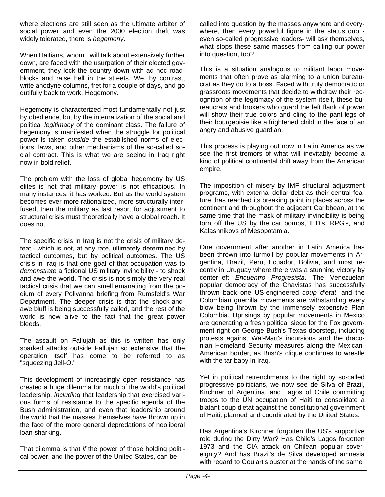where elections are still seen as the ultimate arbiter of social power and even the 2000 election theft was widely tolerated, there is *hegemony*.

When Haitians, whom I will talk about extensively further down, are faced with the usurpation of their elected government, they lock the country down with ad hoc roadblocks and raise hell in the streets. We, by contrast, write anodyne columns, fret for a couple of days, and go dutifully back to work. Hegemony.

Hegemony is characterized most fundamentally not just by obedience, but by the internalization of the social and political *legitimacy* of the dominant class. The failure of hegemony is manifested when the struggle for political power is taken *outside* the established norms of elections, laws, and other mechanisms of the so-called social contract. This is what we are seeing in Iraq right now in bold relief.

The problem with the loss of global hegemony by US elites is not that military power is not efficacious. In many instances, it has worked. But as the world system becomes ever more rationalized, more structurally interfused, then the military as last resort for adjustment to structural crisis must theoretically have a global reach. It does not.

The specific crisis in Iraq is not the crisis of military defeat - which is not, at any rate, ultimately determined by tactical outcomes, but by political outcomes. The US crisis in Iraq is that one goal of that occupation was to *demonstrate* a fictional US military invincibility - to shock and awe the world. The crisis is not simply the very real tactical crisis that we can smell emanating from the podium of every Pollyanna briefing from Rumsfeld's War Department. The deeper crisis is that the shock-andawe bluff is being successfully called, and the rest of the world is now alive to the fact that the great power bleeds.

The assault on Fallujah as this is written has only sparked attacks outside Fallujah so extensive that the operation itself has come to be referred to as "squeezing Jell-O."

This development of increasingly open resistance has created a huge dilemma for much of the world's political leadership, *including* that leadership that exercised various forms of resistance to the specific agenda of the Bush administration, and even that leadership around the world that the masses themselves have thrown up in the face of the more general depredations of neoliberal loan-sharking.

That dilemma is that *if* the power of those holding political power, and the power of the United States, can be

called into question by the masses anywhere and everywhere, then every powerful figure in the status quo even so-called progressive leaders- will ask themselves, what stops these same masses from calling our power into question, too?

This is a situation analogous to militant labor movements that often prove as alarming to a union bureaucrat as they do to a boss. Faced with truly democratic or grassroots movements that decide to withdraw their recognition of the legitimacy of the system itself, these bureaucrats and brokers who guard the left flank of power will show their true colors and cling to the pant-legs of their bourgeoisie like a frightened child in the face of an angry and abusive guardian.

This process is playing out now in Latin America as we see the first tremors of what will inevitably become a kind of political continental drift away from the American empire.

The imposition of misery by IMF structural adjustment programs, with external dollar-debt as their central feature, has reached its breaking point in places across the continent and throughout the adjacent Caribbean, at the same time that the mask of military invincibility is being torn off the US by the car bombs, IED's, RPG's, and Kalashnikovs of Mesopotamia.

One government after another in Latin America has been thrown into turmoil by popular movements in Argentina, Brazil, Peru, Ecuador, Bolivia, and most recently in Uruguay where there was a stunning victory by center-left *Encuentro Progresista*. The Venezuelan popular democracy of the Chavistas has successfully thrown back one US-engineered *coup d'etat*, and the Colombian guerrilla movements are withstanding every blow being thrown by the immensely expensive Plan Colombia. Uprisings by popular movements in Mexico are generating a fresh political siege for the Fox government right on George Bush's Texas doorstep, including protests against Wal-Mart's incursions and the draconian Homeland Security measures along the Mexican-American border, as Bush's clique continues to wrestle with the tar baby in Iraq.

Yet in political retrenchments to the right by so-called progressive politicians, we now see de Silva of Brazil, Kirchner of Argentina, and Lagos of Chile committing troops to the UN occupation of Haiti to consolidate a blatant coup d'etat against the constitutional government of Haiti, planned and coordinated by the United States.

Has Argentina's Kirchner forgotten the US's supportive role during the Dirty War? Has Chile's Lagos forgotten 1973 and the CIA attack on Chilean popular sovereignty? And has Brazil's de Silva developed amnesia with regard to Goulart's ouster at the hands of the same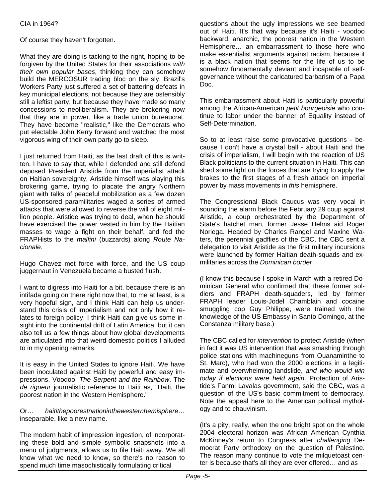Of course they haven't forgotten.

What they are doing is tacking to the right, hoping to be forgiven by the United States for their associations *with their own popular bases*, thinking they can somehow build the MERCOSUR trading bloc on the sly. Brazil's Workers Party just suffered a set of battering defeats in key municipal elections, not because they are ostensibly still a leftist party, but because they have made so many concessions to neoliberalism. They are brokering now that they are in power, like a trade union bureaucrat. They have become "realistic," like the Democrats who put electable John Kerry forward and watched the most vigorous wing of their own party go to sleep.

I just returned from Haiti, as the last draft of this is written. I have to say that, while I defended and still defend deposed President Aristide from the imperialist attack on Haitian sovereignty, Aristide himself was playing this brokering game, trying to placate the angry Northern giant with talks of peaceful mobilization as a few dozen US-sponsored paramilitaries waged a series of armed attacks that were allowed to reverse the will of eight million people. Aristide was trying to deal, when he should have exercised the power vested in him by the Haitian masses to wage a fight on their behalf, and fed the FRAPHists to the *malfini* (buzzards) along *Route Nacionale*.

Hugo Chavez met force with force, and the US coup juggernaut in Venezuela became a busted flush.

I want to digress into Haiti for a bit, because there is an intifada going on there right now that, to me at least, is a very hopeful sign, and I think Haiti can help us understand this crisis of imperialism and not only how it relates to foreign policy. I think Haiti can give us some insight into the continental drift of Latin America, but it can also tell us a few things about how global developments are articulated into that weird domestic politics I alluded to in my opening remarks.

It is easy in the United States to ignore Haiti. We have been inoculated against Haiti by powerful and easy impressions. Voodoo. *The Serpent and the Rainbow*. The *de rigueur* journalistic reference to Haiti as, "Haiti, the poorest nation in the Western Hemisphere."

Or… *haitithepoorestnationinthewesternhemisphere*… inseparable, like a new name.

The modern habit of impression ingestion, of incorporating these bold and simple symbolic snapshots into a menu of judgments, allows us to file Haiti away. We all know what we need to know, so there's no reason to spend much time masochistically formulating critical

questions about the ugly impressions we see beamed out of Haiti. It's that way because it's Haiti - voodoo backward, anarchic, the poorest nation in the Western Hemisphere… an embarrassment to those here who make essentialist arguments against racism, because it is a black nation that seems for the life of us to be somehow fundamentally deviant and incapable of selfgovernance without the caricatured barbarism of a Papa Doc.

This embarrassment about Haiti is particularly powerful among the African-American *petit bourgeoisie* who continue to labor under the banner of Equality instead of Self-Determination.

So to at least raise some provocative questions - because I don't have a crystal ball - about Haiti and the crisis of imperialism, I will begin with the reaction of US Black politicians to the current situation in Haiti. This can shed some light on the forces that are trying to apply the brakes to the first stages of a fresh attack on imperial power by mass movements in *this* hemisphere.

The Congressional Black Caucus was very vocal in sounding the alarm before the February 29 coup against Aristide, a coup orchestrated by the Department of State's hatchet man, former Jesse Helms aid Roger Noriega. Headed by Charles Rangel and Maxine Waters, the perennial gadflies of the CBC, the CBC sent a delegation to visit Aristide as the first military incursions were launched by former Haitian death-squads and exmilitaries across the *Dominican border*.

(I know this because I spoke in March with a retired Dominican General who confirmed that these former soldiers and FRAPH death-squaders, led by former FRAPH leader Louis-Jodel Chamblain and cocaine smuggling cop Guy Philippe, were trained with the knowledge of the US Embassy in Santo Domingo, at the Constanza military base.)

The CBC called for *intervention* to protect Aristide (when in fact it was US intervention that was smashing through police stations with machineguns from Ouanaminthe to St. Marc), who had won the 2000 elections in a legitimate and overwhelming landslide, *and who would win today if elections were held again*. Protection of Aristide's Fanmi Lavalas government, said the CBC, was a question of the US's basic commitment to democracy. Note the appeal here to the American political mythology and to chauvinism.

(It's a pity, really, when the one bright spot on the whole 2004 electoral horizon was African American Cynthia McKinney's return to Congress after *challenging* Democrat Party orthodoxy on the question of Palestine. The reason many continue to vote the milquetoast center is because that's all they are ever offered… and as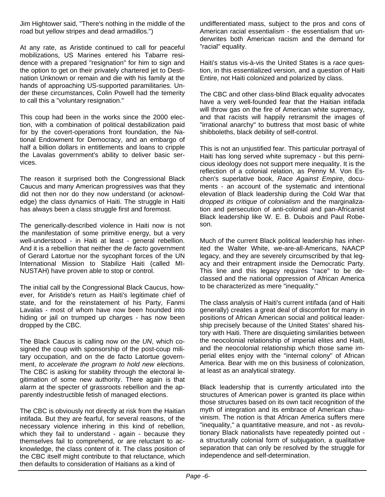Jim Hightower said, "There's nothing in the middle of the road but yellow stripes and dead armadillos.")

At any rate, as Aristide continued to call for peaceful mobilizations, US Marines entered his Tabarre residence with a prepared "resignation" for him to sign and the option to get on their privately chartered jet to Destination Unknown or remain and die with his family at the hands of approaching US-supported paramilitaries. Under these circumstances, Colin Powell had the temerity to call this a "voluntary resignation."

This coup had been in the works since the 2000 election, with a combination of political destabilization paid for by the covert-operations front foundation, the National Endowment for Democracy, and an embargo of half a billion dollars in entitlements and loans to cripple the Lavalas government's ability to deliver basic services.

The reason it surprised both the Congressional Black Caucus and many American progressives was that they did not then nor do they now understand (or acknowledge) the class dynamics of Haiti. The struggle in Haiti has always been a class struggle first and foremost.

The generically-described violence in Haiti now is not the manifestation of some primitive energy, but a very well-understood - in Haiti at least - general rebellion. And it is a rebellion that neither the *de facto* government of Gerard Latortue nor the sycophant forces of the UN International Mission to Stabilize Haiti (called MI-NUSTAH) have proven able to stop or control.

The initial call by the Congressional Black Caucus, however, for Aristide's return as Haiti's legitimate chief of state, and for the reinstatement of his Party, Fanmi Lavalas - most of whom have now been hounded into hiding or jail on trumped up charges - has now been dropped by the CBC.

The Black Caucus is calling now *on the UN*, which cosigned the coup with sponsorship of the post-coup military occupation, and on the de facto Latortue government, *to accelerate the program to hold new elections*. The CBC is asking for stability through the electoral legitimation of some new authority. There again is that alarm at the specter of grassroots rebellion and the apparently indestructible fetish of managed elections.

The CBC is obviously not directly at risk from the Haitian intifada. But they are fearful, for several reasons, of the necessary violence inhering in this kind of rebellion, which they fail to understand - again - because they themselves fail to comprehend, or are reluctant to acknowledge, the class content of it. The class position of the CBC itself might contribute to that reluctance, which then defaults to consideration of Haitians as a kind of

undifferentiated mass, subject to the pros and cons of American racial essentialism - the essentialism that underwrites both American racism and the demand for "racial" equality.

Haiti's status vis-à-vis the United States is a *race* question, in this essentialized version, and a question of Haiti Entire, not Haiti colonized and polarized by class.

The CBC and other class-blind Black equality advocates have a very well-founded fear that the Haitian intifada will throw gas on the fire of American white supremacy, and that racists will happily retransmit the images of "irrational anarchy" to buttress that most basic of white shibboleths, black debility of self-control.

This is not an unjustified fear. This particular portrayal of Haiti has long served white supremacy - but this pernicious ideology does not support mere inequality. It is the reflection of a colonial relation, as Penny M. Von Eschen's superlative book, *Race Against Empire*, documents - an account of the systematic and intentional elevation of Black leadership during the Cold War that *dropped its critique of colonialism* and the marginalization and persecution of anti-colonial and pan-Africanist Black leadership like W. E. B. Dubois and Paul Robeson.

Much of the current Black political leadership has inherited the Walter White, we-are-all-Americans, NAACP legacy, and they are severely circumscribed by that legacy and their entrapment inside the Democratic Party. This line and this legacy requires "race" to be declassed and the national oppression of African America to be characterized as mere "inequality."

The class analysis of Haiti's current intifada (and of Haiti generally) creates a great deal of discomfort for many in positions of African American social and political leadership precisely because of the United States' shared history with Haiti. There are disquieting similarities between the neocolonial relationship of imperial elites and Haiti, and the neocolonial relationship which those same imperial elites enjoy with the "internal colony" of African America. Bear with me on this business of colonization, at least as an analytical strategy.

Black leadership that is currently articulated into the structures of American power is granted its place within those structures based on its own tacit recognition of the myth of integration and its embrace of American chauvinism. The notion is that African America suffers mere "inequality," a quantitative measure, and not - as revolutionary Black nationalists have repeatedly pointed out a structurally colonial form of subjugation, a qualitative separation that can only be resolved by the struggle for independence and self-determination.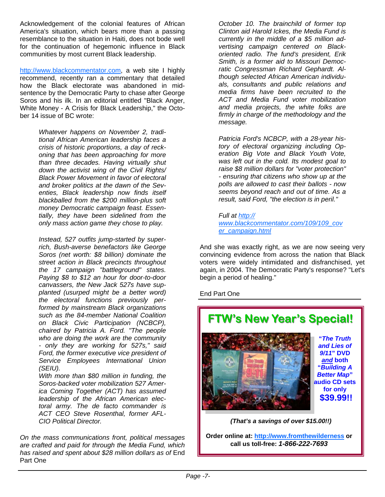Acknowledgement of the colonial features of African America's situation, which bears more than a passing resemblance to the situation in Haiti, does not bode well for the continuation of hegemonic influence in Black communities by most current Black leadership.

http://www.blackcommentator.com, a web site I highly recommend, recently ran a commentary that detailed how the Black electorate was abandoned in midsentence by the Democratic Party to chase after George Soros and his ilk. In an editorial entitled "Black Anger, White Money - A Crisis for Black Leadership," the October 14 issue of BC wrote:

> *Whatever happens on November 2, traditional African American leadership faces a crisis of historic proportions, a day of reckoning that has been approaching for more than three decades. Having virtually shut down the activist wing of the Civil Rights/ Black Power Movement in favor of electoral and broker politics at the dawn of the Seventies, Black leadership now finds itself blackballed from the \$200 million-plus soft money Democratic campaign feast. Essentially, they have been sidelined from the only mass action game they chose to play.*

> *Instead, 527 outfits jump-started by superrich, Bush-averse benefactors like George Soros (net worth: \$8 billion) dominate the street action in Black precincts throughout the 17 campaign "battleground" states. Paying \$8 to \$12 an hour for door-to-door canvassers, the New Jack 527s have supplanted (usurped might be a better word) the electoral functions previously performed by mainstream Black organizations such as the 84-member National Coalition on Black Civic Participation (NCBCP), chaired by Patricia A. Ford. "The people who are doing the work are the community - only they are working for 527s," said Ford, the former executive vice president of Service Employees International Union (SEIU).*

> *With more than \$80 million in funding, the Soros-backed voter mobilization 527 America Coming Together (ACT) has assumed leadership of the African American electoral army. The de facto commander is ACT CEO Steve Rosenthal, former AFL-CIO Political Director.*

*On the mass communications front, political messages are crafted and paid for through the Media Fund, which has raised and spent about \$28 million dollars as of* End Part One

*October 10. The brainchild of former top Clinton aid Harold Ickes, the Media Fund is currently in the middle of a \$5 million advertising campaign centered on Blackoriented radio. The fund's president, Erik Smith, is a former aid to Missouri Democratic Congressman Richard Gephardt. Although selected African American individuals, consultants and public relations and media firms have been recruited to the ACT and Media Fund voter mobilization and media projects, the white folks are firmly in charge of the methodology and the message.*

*Patricia Ford's NCBCP, with a 28-year history of electoral organizing including Operation Big Vote and Black Youth Vote, was left out in the cold. Its modest goal to raise \$8 million dollars for "voter protection" - ensuring that citizens who show up at the polls are allowed to cast their ballots - now seems beyond reach and out of time. As a result, said Ford, "the election is in peril."*

*Full at http:// www.blackcommentator.com/109/109\_cov er\_campaign.html*

And she was exactly right, as we are now seeing very convincing evidence from across the nation that Black voters were widely intimidated and disfranchised, yet again, in 2004. The Democratic Party's response? "Let's begin a period of healing."

End Part One



**Order online at: http://www.fromthewilderness or call us toll-free:** *1-866-222-7693*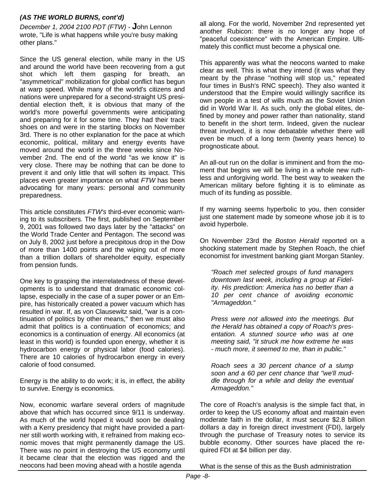#### *(AS THE WORLD BURNS, cont'd)*

*December 1, 2004 2100 PDT (FTW)* - **J**ohn Lennon wrote, "Life is what happens while you're busy making other plans."

Since the US general election, while many in the US and around the world have been recovering from a gut shot which left them gasping for breath, an "asymmetrical" mobilization for global conflict has begun at warp speed. While many of the world's citizens and nations were unprepared for a second-straight US presidential election theft, it is obvious that many of the world's more powerful governments were anticipating and preparing for it for some time. They had their track shoes on and were in the starting blocks on November 3rd. There is no other explanation for the pace at which economic, political, military and energy events have moved around the world in the three weeks since November 2nd. The end of the world "as we know it" is very close. There may be nothing that can be done to prevent it and only little that will soften its impact. This places even greater importance on what *FTW* has been advocating for many years: personal and community preparedness.

This article constitutes *FTW's* third-ever economic warning to its subscribers. The first, published on September 9, 2001 was followed two days later by the "attacks" on the World Trade Center and Pentagon. The second was on July 8, 2002 just before a precipitous drop in the Dow of more than 1400 points and the wiping out of more than a trillion dollars of shareholder equity, especially from pension funds.

One key to grasping the interrelatedness of these developments is to understand that dramatic economic collapse, especially in the case of a super power or an Empire, has historically created a power vacuum which has resulted in war. If, as von Clausewitz said, "war is a continuation of politics by other means," then we must also admit that politics is a continuation of economics; and economics is a continuation of energy. All economics (at least in this world) is founded upon energy, whether it is hydrocarbon energy or physical labor (food calories). There are 10 calories of hydrocarbon energy in every calorie of food consumed.

Energy is the ability to do work; it is, in effect, the ability to survive. Energy is economics.

Now, economic warfare several orders of magnitude above that which has occurred since 9/11 is underway. As much of the world hoped it would soon be dealing with a Kerry presidency that might have provided a partner still worth working with, it refrained from making economic moves that might permanently damage the US. There was no point in destroying the US economy until it became clear that the election was rigged and the neocons had been moving ahead with a hostile agenda

all along. For the world, November 2nd represented yet another Rubicon: there is no longer any hope of "peaceful coexistence" with the American Empire. Ultimately this conflict must become a physical one.

This apparently was what the neocons wanted to make clear as well. This is what they intend (it was what they meant by the phrase "nothing will stop us," repeated four times in Bush's RNC speech). They also wanted it understood that the Empire would willingly sacrifice its own people in a test of wills much as the Soviet Union did in World War II. As such, only the global elites, defined by money and power rather than nationality, stand to benefit in the short term. Indeed, given the nuclear threat involved, it is now debatable whether there will even be much of a long term (twenty years hence) to prognosticate about.

An all-out run on the dollar is imminent and from the moment that begins we will be living in a whole new ruthless and unforgiving world. The best way to weaken the American military before fighting it is to eliminate as much of its funding as possible.

If my warning seems hyperbolic to you, then consider just one statement made by someone whose job it is to avoid hyperbole.

On November 23rd the *Boston Herald* reported on a shocking statement made by Stephen Roach, the chief economist for investment banking giant Morgan Stanley.

*"Roach met selected groups of fund managers downtown last week, including a group at Fidelity. His prediction: America has no better than a 10 per cent chance of avoiding economic "Armageddon."* 

*Press were not allowed into the meetings. But the Herald has obtained a copy of Roach's presentation. A stunned source who was at one meeting said, "it struck me how extreme he was - much more, it seemed to me, than in public."* 

*Roach sees a 30 percent chance of a slump soon and a 60 per cent chance that "we'll muddle through for a while and delay the eventual Armageddon."* 

The core of Roach's analysis is the simple fact that, in order to keep the US economy afloat and maintain even moderate faith in the dollar, it must secure \$2.8 billion dollars a day in foreign direct investment (FDI), largely through the purchase of Treasury notes to service its bubble economy. Other sources have placed the required FDI at \$4 billion per day.

What is the sense of this as the Bush administration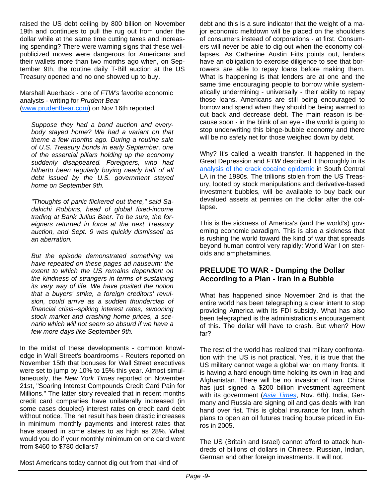raised the US debt ceiling by 800 billion on November 19th and continues to pull the rug out from under the dollar while at the same time cutting taxes and increasing spending? There were warning signs that these wellpublicized moves were dangerous for Americans and their wallets more than two months ago when, on September 9th, the routine daily T-Bill auction at the US Treasury opened and no one showed up to buy.

Marshall Auerback - one of *FTW's* favorite economic analysts - writing for *Prudent Bear* (www.prudentbear.com) on Nov 16th reported:

*Suppose they had a bond auction and everybody stayed home? We had a variant on that theme a few months ago. During a routine sale of U.S. Treasury bonds in early September, one of the essential pillars holding up the economy suddenly disappeared. Foreigners, who had hitherto been regularly buying nearly half of all debt issued by the U.S. government stayed home on September 9th.*

*"Thoughts of panic flickered out there," said Sadakichi Robbins, head of global fixed-income trading at Bank Julius Baer. To be sure, the foreigners returned in force at the next Treasury auction, and Sept. 9 was quickly dismissed as an aberration.*

*But the episode demonstrated something we have repeated on these pages ad nauseum: the extent to which the US remains dependent on the kindness of strangers in terms of sustaining its very way of life. We have posited the notion that a buyers' strike, a foreign creditors' revulsion, could arrive as a sudden thunderclap of financial crisis--spiking interest rates, swooning stock market and crashing home prices, a scenario which will not seem so absurd if we have a few more days like September 9th.*

In the midst of these developments - common knowledge in Wall Street's boardrooms - Reuters reported on November 15th that bonuses for Wall Street executives were set to jump by 10% to 15% this year. Almost simultaneously, the *New York Times* reported on November 21st, "Soaring Interest Compounds Credit Card Pain for Millions." The latter story revealed that in recent months credit card companies have unilaterally increased (in some cases doubled) interest rates on credit card debt without notice. The net result has been drastic increases in minimum monthly payments and interest rates that have soared in some states to as high as 28%. What would you do if your monthly minimum on one card went from \$460 to \$780 dollars?

Most Americans today cannot dig out from that kind of

debt and this is a sure indicator that the weight of a major economic meltdown will be placed on the shoulders of consumers instead of corporations - at first. Consumers will never be able to dig out when the economy collapses. As Catherine Austin Fitts points out, lenders have an obligation to exercise diligence to see that borrowers are able to repay loans before making them. What is happening is that lenders are at one and the same time encouraging people to borrow while systematically undermining - universally - their ability to repay those loans. Americans are still being encouraged to borrow and spend when they should be being warned to cut back and decrease debt. The main reason is because soon - in the blink of an eye - the world is going to stop underwriting this binge-bubble economy and there will be no safety net for those weighed down by debt.

Why? It's called a wealth transfer. It happened in the Great Depression and *FTW* described it thoroughly in its analysis of the crack cocaine epidemic in South Central LA in the 1980s. The trillions stolen from the US Treasury, looted by stock manipulations and derivative-based investment bubbles, will be available to buy back our devalued assets at pennies on the dollar after the collapse.

This is the sickness of America's (and the world's) governing economic paradigm. This is also a sickness that is rushing the world toward the kind of war that spreads beyond human control very rapidly: World War I on steroids and amphetamines.

#### **PRELUDE TO WAR - Dumping the Dollar According to a Plan - Iran in a Bubble**

What has happened since November 2nd is that the entire world has been telegraphing a clear intent to stop providing America with its FDI subsidy. What has also been telegraphed is the administration's encouragement of this. The dollar will have to crash. But when? How far?

The rest of the world has realized that military confrontation with the US is not practical. Yes, it is true that the US military cannot wage a global war on many fronts. It is having a hard enough time holding its own in Iraq and Afghanistan. There will be no invasion of Iran. China has just signed a \$200 billion investment agreement with its government (*Asia Times*, Nov. 6th). India, Germany and Russia are signing oil and gas deals with Iran hand over fist. This is global insurance for Iran, which plans to open an oil futures trading bourse priced in Euros in 2005.

The US (Britain and Israel) cannot afford to attack hundreds of billions of dollars in Chinese, Russian, Indian, German and other foreign investments. It will not.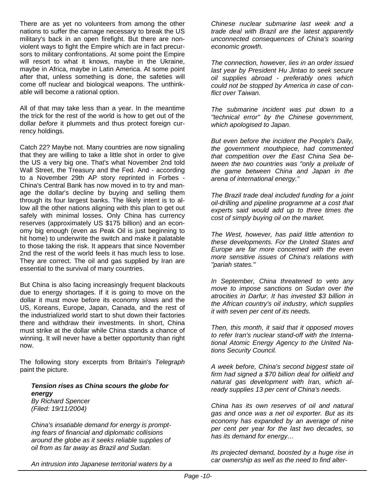There are as yet no volunteers from among the other nations to suffer the carnage necessary to break the US military's back in an open firefight. But there are nonviolent ways to fight the Empire which are in fact precursors to military confrontations. At some point the Empire will resort to what it knows, maybe in the Ukraine, maybe in Africa, maybe in Latin America. At some point after that, unless something is done, the safeties will come off nuclear and biological weapons. The unthinkable will become a rational option.

All of that may take less than a year. In the meantime the trick for the rest of the world is how to get out of the dollar *before* it plummets and thus protect foreign currency holdings.

Catch 22? Maybe not. Many countries are now signaling that they are willing to take a little shot in order to give the US a very big one. That's what November 2nd told Wall Street, the Treasury and the Fed. And - according to a November 29th AP story reprinted in Forbes - China's Central Bank has now moved in to try and manage the dollar's decline by buying and selling them through its four largest banks. The likely intent is to allow all the other nations aligning with this plan to get out safely with minimal losses. Only China has currency reserves (approximately US \$175 billion) and an economy big enough (even as Peak Oil is just beginning to hit home) to underwrite the switch and make it palatable to those taking the risk. It appears that since November 2nd the rest of the world feels it has much less to lose. They are correct. The oil and gas supplied by Iran are essential to the survival of many countries.

But China is also facing increasingly frequent blackouts due to energy shortages. If it is going to move on the dollar it must move before its economy slows and the US, Koreans, Europe, Japan, Canada, and the rest of the industrialized world start to shut down their factories there and withdraw their investments. In short, China must strike at the dollar while China stands a chance of winning. It will never have a better opportunity than right now.

The following story excerpts from Britain's *Telegraph* paint the picture.

#### *Tension rises as China scours the globe for energy*

*By Richard Spencer (Filed: 19/11/2004)*

*China's insatiable demand for energy is prompting fears of financial and diplomatic collisions around the globe as it seeks reliable supplies of oil from as far away as Brazil and Sudan.* 

*An intrusion into Japanese territorial waters by a* 

*Chinese nuclear submarine last week and a trade deal with Brazil are the latest apparently unconnected consequences of China's soaring economic growth.*

*The connection, however, lies in an order issued last year by President Hu Jintao to seek secure oil supplies abroad - preferably ones which could not be stopped by America in case of conflict over Taiwan.*

*The submarine incident was put down to a "technical error" by the Chinese government, which apologised to Japan.*

*But even before the incident the People's Daily, the government mouthpiece, had commented that competition over the East China Sea between the two countries was "only a prelude of the game between China and Japan in the arena of international energy."*

*The Brazil trade deal included funding for a joint oil-drilling and pipeline programme at a cost that experts said would add up to three times the cost of simply buying oil on the market.*

*The West, however, has paid little attention to these developments. For the United States and Europe are far more concerned with the even more sensitive issues of China's relations with "pariah states."*

*In September, China threatened to veto any move to impose sanctions on Sudan over the atrocities in Darfur. It has invested \$3 billion in the African country's oil industry, which supplies it with seven per cent of its needs.*

*Then, this month, it said that it opposed moves to refer Iran's nuclear stand-off with the International Atomic Energy Agency to the United Nations Security Council.*

*A week before, China's second biggest state oil firm had signed a \$70 billion deal for oilfield and natural gas development with Iran, which already supplies 13 per cent of China's needs.*

*China has its own reserves of oil and natural gas and once was a net oil exporter. But as its economy has expanded by an average of nine per cent per year for the last two decades, so has its demand for energy…*

*Its projected demand, boosted by a huge rise in car ownership as well as the need to find alter-*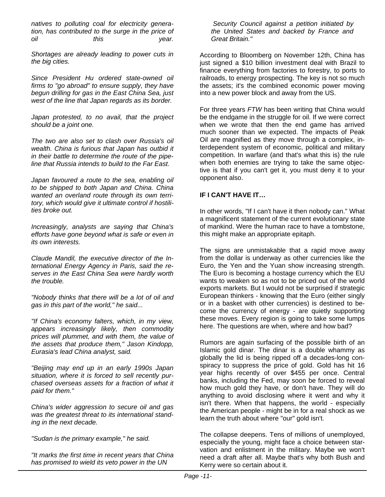*natives to polluting coal for electricity generation, has contributed to the surge in the price of oil this year.* 

*Shortages are already leading to power cuts in the big cities.*

*Since President Hu ordered state-owned oil firms to "go abroad" to ensure supply, they have begun drilling for gas in the East China Sea, just west of the line that Japan regards as its border.*

*Japan protested, to no avail, that the project should be a joint one.* 

*The two are also set to clash over Russia's oil wealth. China is furious that Japan has outbid it in their battle to determine the route of the pipeline that Russia intends to build to the Far East.*

*Japan favoured a route to the sea, enabling oil to be shipped to both Japan and China. China wanted an overland route through its own territory, which would give it ultimate control if hostilities broke out.*

*Increasingly, analysts are saying that China's efforts have gone beyond what is safe or even in its own interests.*

*Claude Mandil, the executive director of the International Energy Agency in Paris, said the reserves in the East China Sea were hardly worth the trouble.*

*"Nobody thinks that there will be a lot of oil and gas in this part of the world," he said...*

*"If China's economy falters, which, in my view, appears increasingly likely, then commodity prices will plummet, and with them, the value of the assets that produce them," Jason Kindopp, Eurasia's lead China analyst, said.*

*"Beijing may end up in an early 1990s Japan situation, where it is forced to sell recently purchased overseas assets for a fraction of what it paid for them."*

*China's wider aggression to secure oil and gas was the greatest threat to its international standing in the next decade.*

*"Sudan is the primary example," he said.*

*"It marks the first time in recent years that China has promised to wield its veto power in the UN* 

*Security Council against a petition initiated by the United States and backed by France and Great Britain."* 

According to Bloomberg on November 12th, China has just signed a \$10 billion investment deal with Brazil to finance everything from factories to forestry, to ports to railroads, to energy prospecting. The key is not so much the assets; it's the combined economic power moving into a new power block and away from the US.

For three years *FTW* has been writing that China would be the endgame in the struggle for oil. If we were correct when we wrote that then the end game has arrived much sooner than we expected. The impacts of Peak Oil are magnified as they move through a complex, interdependent system of economic, political and military competition. In warfare (and that's what this is) the rule when both enemies are trying to take the same objective is that if you can't get it, you must deny it to your opponent also.

#### **IF I CAN'T HAVE IT…**

In other words, "If I can't have it then nobody can." What a magnificent statement of the current evolutionary state of mankind. Were the human race to have a tombstone, this might make an appropriate epitaph.

The signs are unmistakable that a rapid move away from the dollar is underway as other currencies like the Euro, the Yen and the Yuan show increasing strength. The Euro is becoming a hostage currency which the EU wants to weaken so as not to be priced out of the world exports markets. But I would not be surprised if strategic European thinkers - knowing that the Euro (either singly or in a basket with other currencies) is destined to become the currency of energy - are quietly supporting these moves. Every region is going to take some lumps here. The questions are when, where and how bad?

Rumors are again surfacing of the possible birth of an Islamic gold dinar. The dinar is a double whammy as globally the lid is being ripped off a decades-long conspiracy to suppress the price of gold. Gold has hit 16 year highs recently of over \$455 per once. Central banks, including the Fed, may soon be forced to reveal how much gold they have, or don't have. They will do anything to avoid disclosing where it went and why it isn't there. When that happens, the world - especially the American people - might be in for a real shock as we learn the truth about where "our" gold isn't.

The collapse deepens. Tens of millions of unemployed, especially the young, might face a choice between starvation and enlistment in the military. Maybe we won't need a draft after all. Maybe that's why both Bush and Kerry were so certain about it.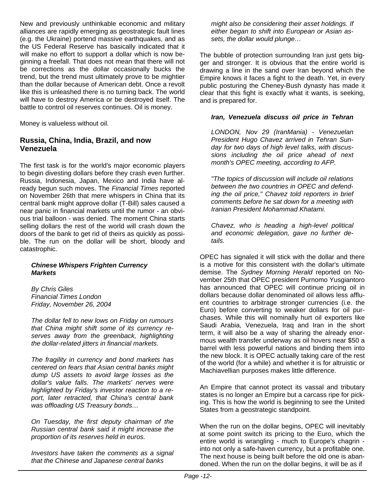New and previously unthinkable economic and military alliances are rapidly emerging as geostrategic fault lines (e.g. the Ukraine) portend massive earthquakes, and as the US Federal Reserve has basically indicated that it will make no effort to support a dollar which is now beginning a freefall. That does not mean that there will not be corrections as the dollar occasionally bucks the trend, but the trend must ultimately prove to be mightier than the dollar because of American debt. Once a revolt like this is unleashed there is no turning back. The world will have to destroy America or be destroyed itself. The battle to control oil reserves continues. Oil is money.

Money is valueless without oil.

#### **Russia, China, India, Brazil, and now Venezuela**

The first task is for the world's major economic players to begin divesting dollars before they crash even further. Russia, Indonesia, Japan, Mexico and India have already begun such moves. The *Financial Times* reported on November 26th that mere whispers in China that its central bank might approve dollar (T-Bill) sales caused a near panic in financial markets until the rumor - an obvious trial balloon - was denied. The moment China starts selling dollars the rest of the world will crash down the doors of the bank to get rid of theirs as quickly as possible. The run on the dollar will be short, bloody and catastrophic.

#### *Chinese Whispers Frighten Currency Markets*

*By Chris Giles Financial Times London Friday, November 26, 2004*

*The dollar fell to new lows on Friday on rumours that China might shift some of its currency reserves away from the greenback, highlighting the dollar-related jitters in financial markets.*

*The fragility in currency and bond markets has centered on fears that Asian central banks might dump US assets to avoid large losses as the dollar's value falls. The markets' nerves were highlighted by Friday's investor reaction to a report, later retracted, that China's central bank was offloading US Treasury bonds…*

*On Tuesday, the first deputy chairman of the Russian central bank said it might increase the proportion of its reserves held in euros.*

*Investors have taken the comments as a signal that the Chinese and Japanese central banks* 

*might also be considering their asset holdings. If either began to shift into European or Asian assets, the dollar would plunge…*

The bubble of protection surrounding Iran just gets bigger and stronger. It is obvious that the entire world is drawing a line in the sand over Iran beyond which the Empire knows it faces a fight to the death. Yet, in every public posturing the Cheney-Bush dynasty has made it clear that this fight is exactly what it wants, is seeking, and is prepared for.

#### *Iran, Venezuela discuss oil price in Tehran*

*LONDON, Nov 29 (IranMania) - Venezuelan President Hugo Chavez arrived in Tehran Sunday for two days of high level talks, with discussions including the oil price ahead of next month's OPEC meeting, according to AFP.*

*"The topics of discussion will include oil relations between the two countries in OPEC and defending the oil price," Chavez told reporters in brief comments before he sat down for a meeting with Iranian President Mohammad Khatami.*

*Chavez, who is heading a high-level political and economic delegation, gave no further details.* 

OPEC has signaled it will stick with the dollar and there is a motive for this consistent with the dollar's ultimate demise. The *Sydney Morning Herald* reported on November 25th that OPEC president Purnomo Yusgiantoro has announced that OPEC will continue pricing oil in dollars because dollar denominated oil allows less affluent countries to arbitrage stronger currencies (i.e. the Euro) before converting to weaker dollars for oil purchases. While this will nominally hurt oil exporters like Saudi Arabia, Venezuela, Iraq and Iran in the short term, it will also be a way of sharing the already enormous wealth transfer underway as oil hovers near \$50 a barrel with less powerful nations and binding them into the new block. It is OPEC actually taking care of the rest of the world (for a while) and whether it is for altruistic or Machiavellian purposes makes little difference.

An Empire that cannot protect its vassal and tributary states is no longer an Empire but a carcass ripe for picking. This is how the world is beginning to see the United States from a geostrategic standpoint.

When the run on the dollar begins, OPEC will inevitably at some point switch its pricing to the Euro, which the entire world is wrangling - much to Europe's chagrin into not only a safe-haven currency, but a profitable one. The next house is being built before the old one is abandoned. When the run on the dollar begins, it will be as if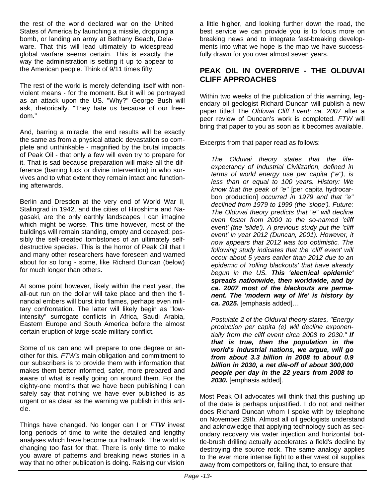the rest of the world declared war on the United States of America by launching a missile, dropping a bomb, or landing an army at Bethany Beach, Delaware. That this will lead ultimately to widespread global warfare seems certain. This is exactly the way the administration is setting it up to appear to the American people. Think of 9/11 times fifty.

The rest of the world is merely defending itself with nonviolent means - for the moment. But it will be portrayed as an attack upon the US. "Why?" George Bush will ask, rhetorically. "They hate us because of our freedom."

And, barring a miracle, the end results will be exactly the same as from a physical attack: devastation so complete and unthinkable - magnified by the brutal impacts of Peak Oil - that only a few will even try to prepare for it. That is sad because preparation will make all the difference (barring luck or divine intervention) in who survives and to what extent they remain intact and functioning afterwards.

Berlin and Dresden at the very end of World War II, Stalingrad in 1942, and the cities of Hiroshima and Nagasaki, are the only earthly landscapes I can imagine which might be worse. This time however, most of the buildings will remain standing, empty and decayed; possibly the self-created tombstones of an ultimately selfdestructive species. This is the horror of Peak Oil that I and many other researchers have foreseen and warned about for so long - some, like Richard Duncan (below) for much longer than others.

At some point however, likely within the next year, the all-out run on the dollar will take place and then the financial embers will burst into flames, perhaps even military confrontation. The latter will likely begin as "lowintensity" surrogate conflicts in Africa, Saudi Arabia, Eastern Europe and South America before the almost certain eruption of large-scale military conflict.

Some of us can and will prepare to one degree or another for this. *FTW's* main obligation and commitment to our subscribers is to provide them with information that makes them better informed, safer, more prepared and aware of what is really going on around them. For the eighty-one months that we have been publishing I can safely say that nothing we have ever published is as urgent or as clear as the warning we publish in this article.

Things have changed. No longer can I or *FTW* invest long periods of time to write the detailed and lengthy analyses which have become our hallmark. The world is changing too fast for that. There is only time to make you aware of patterns and breaking news stories in a way that no other publication is doing. Raising our vision

a little higher, and looking further down the road, the best service we can provide you is to focus more on breaking news and to integrate fast-breaking developments into what we hope is the map we have successfully drawn for you over almost seven years.

#### **PEAK OIL IN OVERDRIVE - THE OLDUVAI CLIFF APPROACHES**

Within two weeks of the publication of this warning, legendary oil geologist Richard Duncan will publish a new paper titled The *Olduvai Cliff Event: ca. 2007* after a peer review of Duncan's work is completed. *FTW* will bring that paper to you as soon as it becomes available.

Excerpts from that paper read as follows:

*The Olduvai theory states that the lifeexpectancy of Industrial Civilization, defined in terms of world energy use per capita ("e"), is less than or equal to 100 years. History: We know that the peak of "e"* [per capita hydrocarbon production] *occurred in 1979 and that "e" declined from 1979 to 1999 (the 'slope'). Future: The Olduvai theory predicts that "e" will decline even faster from 2000 to the so-named 'cliff event' (the 'slide'). A previous study put the 'cliff event' in year 2012 (Duncan, 2001). However, it now appears that 2012 was too optimistic. The following study indicates that the 'cliff event' will occur about 5 years earlier than 2012 due to an epidemic of 'rolling blackouts' that have already begun in the US. This 'electrical epidemic' spreads nationwide, then worldwide, and by ca. 2007 most of the blackouts are permanent. The 'modern way of life' is history by ca. 2025.* [emphasis added]…

*Postulate 2 of the Olduvai theory states, "Energy production per capita (e) will decline exponentially from the cliff event circa 2008 to 2030." If that is true, then the population in the world's industrial nations, we argue, will go from about 3.3 billion in 2008 to about 0.9 billion in 2030, a net die-off of about 300,000 people per day in the 22 years from 2008 to 2030.* [emphasis added].

Most Peak Oil advocates will think that this pushing up of the date is perhaps unjustified. I do not and neither does Richard Duncan whom I spoke with by telephone on November 29th. Almost all oil geologists understand and acknowledge that applying technology such as secondary recovery via water injection and horizontal bottle-brush drilling actually accelerates a field's decline by destroying the source rock. The same analogy applies to the ever more intense fight to either wrest oil supplies away from competitors or, failing that, to ensure that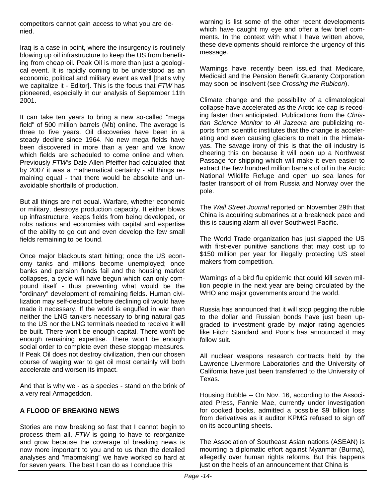competitors cannot gain access to what you are denied.

Iraq is a case in point, where the insurgency is routinely blowing up oil infrastructure to keep the US from benefiting from cheap oil. Peak Oil is more than just a geological event. It is rapidly coming to be understood as an economic, political and military event as well [that's why we capitalize it - Editor]. This is the focus that *FTW* has pioneered, especially in our analysis of September 11th 2001.

It can take ten years to bring a new so-called "mega field" of 500 million barrels (Mb) online. The average is three to five years. Oil discoveries have been in a steady decline since 1964. No new mega fields have been discovered in more than a year and we know which fields are scheduled to come online and when. Previously *FTW's* Dale Allen Pfeiffer had calculated that by 2007 it was a mathematical certainty - all things remaining equal - that there would be absolute and unavoidable shortfalls of production.

But all things are not equal. Warfare, whether economic or military, destroys production capacity. It either blows up infrastructure, keeps fields from being developed, or robs nations and economies with capital and expertise of the ability to go out and even develop the few small fields remaining to be found.

Once major blackouts start hitting; once the US economy tanks and millions become unemployed; once banks and pension funds fail and the housing market collapses, a cycle will have begun which can only compound itself - thus preventing what would be the "ordinary" development of remaining fields. Human civilization may self-destruct before declining oil would have made it necessary. If the world is engulfed in war then neither the LNG tankers necessary to bring natural gas to the US nor the LNG terminals needed to receive it will be built. There won't be enough capital. There won't be enough remaining expertise. There won't be enough social order to complete even these stopgap measures. If Peak Oil does not destroy civilization, then our chosen course of waging war to get oil most certainly will both accelerate and worsen its impact.

And that is why we - as a species - stand on the brink of a very real Armageddon.

#### **A FLOOD OF BREAKING NEWS**

Stories are now breaking so fast that I cannot begin to process them all. *FTW* is going to have to reorganize and grow because the coverage of breaking news is now more important to you and to us than the detailed analyses and "mapmaking" we have worked so hard at for seven years. The best I can do as I conclude this

warning is list some of the other recent developments which have caught my eye and offer a few brief comments. In the context with what I have written above, these developments should reinforce the urgency of this message.

Warnings have recently been issued that Medicare, Medicaid and the Pension Benefit Guaranty Corporation may soon be insolvent (see *Crossing the Rubicon*).

Climate change and the possibility of a climatological collapse have accelerated as the Arctic ice cap is receding faster than anticipated. Publications from the *Christian Science Monitor* to *Al Jazeera* are publicizing reports from scientific institutes that the change is accelerating and even causing glaciers to melt in the Himalayas. The savage irony of this is that the oil industry is cheering this on because it will open up a Northwest Passage for shipping which will make it even easier to extract the few hundred million barrels of oil in the Arctic National Wildlife Refuge and open up sea lanes for faster transport of oil from Russia and Norway over the pole.

The *Wall Street Journal* reported on November 29th that China is acquiring submarines at a breakneck pace and this is causing alarm all over Southwest Pacific.

The World Trade organization has just slapped the US with first-ever punitive sanctions that may cost up to \$150 million per year for illegally protecting US steel makers from competition.

Warnings of a bird flu epidemic that could kill seven million people in the next year are being circulated by the WHO and major governments around the world.

Russia has announced that it will stop pegging the ruble to the dollar and Russian bonds have just been upgraded to investment grade by major rating agencies like Fitch; Standard and Poor's has announced it may follow suit.

All nuclear weapons research contracts held by the Lawrence Livermore Laboratories and the University of California have just been transferred to the University of Texas.

Housing Bubble -- On Nov. 16, according to the Associated Press, Fannie Mae, currently under investigation for cooked books, admitted a possible \$9 billion loss from derivatives as it auditor KPMG refused to sign off on its accounting sheets.

The Association of Southeast Asian nations (ASEAN) is mounting a diplomatic effort against Myanmar (Burma), allegedly over human rights reforms. But this happens just on the heels of an announcement that China is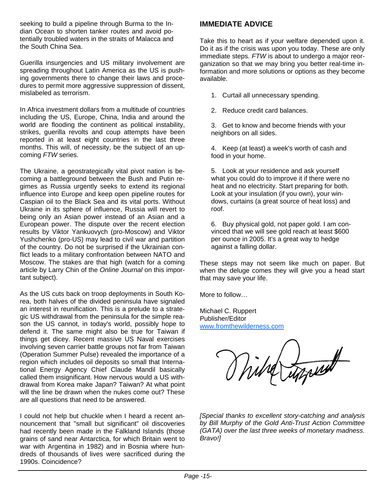seeking to build a pipeline through Burma to the Indian Ocean to shorten tanker routes and avoid potentially troubled waters in the straits of Malacca and the South China Sea.

Guerilla insurgencies and US military involvement are spreading throughout Latin America as the US is pushing governments there to change their laws and procedures to permit more aggressive suppression of dissent, mislabeled as terrorism.

In Africa investment dollars from a multitude of countries including the US, Europe, China, India and around the world are flooding the continent as political instability, strikes, guerilla revolts and coup attempts have been reported in at least eight countries in the last three months. This will, of necessity, be the subject of an upcoming *FTW* series.

The Ukraine, a geostrategically vital pivot nation is becoming a battleground between the Bush and Putin regimes as Russia urgently seeks to extend its regional influence into Europe and keep open pipeline routes for Caspian oil to the Black Sea and its vital ports. Without Ukraine in its sphere of influence, Russia will revert to being only an Asian power instead of an Asian and a European power. The dispute over the recent election results by Viktor Yankuovych (pro-Moscow) and Viktor Yushchenko (pro-US) may lead to civil war and partition of the country. Do not be surprised if the Ukrainian conflict leads to a military confrontation between NATO and Moscow. The stakes are that high (watch for a coming article by Larry Chin of the *Online Journal* on this important subject).

As the US cuts back on troop deployments in South Korea, both halves of the divided peninsula have signaled an interest in reunification. This is a prelude to a strategic US withdrawal from the peninsula for the simple reason the US cannot, in today's world, possibly hope to defend it. The same might also be true for Taiwan if things get dicey. Recent massive US Naval exercises involving seven carrier battle groups not far from Taiwan (Operation Summer Pulse) revealed the importance of a region which includes oil deposits so small that International Energy Agency Chief Claude Mandil basically called them insignificant. How nervous would a US withdrawal from Korea make Japan? Taiwan? At what point will the line be drawn when the nukes come out? These are all questions that need to be answered.

I could not help but chuckle when I heard a recent announcement that "small but significant" oil discoveries had recently been made in the Falkland Islands (those grains of sand near Antarctica, for which Britain went to war with Argentina in 1982) and in Bosnia where hundreds of thousands of lives were sacrificed during the 1990s. Coincidence?

#### **IMMEDIATE ADVICE**

Take this to heart as if your welfare depended upon it. Do it as if the crisis was upon you today. These are only immediate steps. *FTW* is about to undergo a major reorganization so that we may bring you better real-time information and more solutions or options as they become available.

- 1. Curtail all unnecessary spending.
- 2. Reduce credit card balances.

3. Get to know and become friends with your neighbors on all sides.

4. Keep (at least) a week's worth of cash and food in your home.

5. Look at your residence and ask yourself what you could do to improve it if there were no heat and no electricity. Start preparing for both. Look at your insulation (if you own), your windows, curtains (a great source of heat loss) and roof.

6. Buy physical gold, not paper gold. I am convinced that we will see gold reach at least \$600 per ounce in 2005. It's a great way to hedge against a falling dollar.

These steps may not seem like much on paper. But when the deluge comes they will give you a head start that may save your life.

More to follow…

Michael C. Ruppert Publisher/Editor www.fromthewilderness.com

With Trapel

*[Special thanks to excellent story-catching and analysis by Bill Murphy of the Gold Anti-Trust Action Committee (GATA) over the last three weeks of monetary madness. Bravo!]*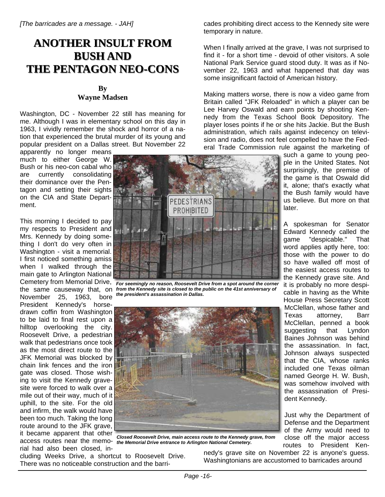### **ANOTHER INSULT FROM ANOTHER INSULT FROM BUSH AND BUSH AND THE PENTAGON NEO THE PENTAGON NEO-CONS**

#### **By Wayne Madsen**

Washington, DC - November 22 still has meaning for me. Although I was in elementary school on this day in 1963, I vividly remember the shock and horror of a nation that experienced the brutal murder of its young and popular president on a Dallas street. But November 22

apparently no longer means much to either George W. Bush or his neo-con cabal who are currently consolidating their dominance over the Pentagon and setting their sights on the CIA and State Department.

This morning I decided to pay my respects to President and Mrs. Kennedy by doing something I don't do very often in Washington - visit a memorial. I first noticed something amiss when I walked through the main gate to Arlington National the same causeway that, on November 25, 1963, bore President Kennedy's horsedrawn coffin from Washington to be laid to final rest upon a hilltop overlooking the city. Roosevelt Drive, a pedestrian walk that pedestrians once took as the most direct route to the JFK Memorial was blocked by chain link fences and the iron gate was closed. Those wishing to visit the Kennedy gravesite were forced to walk over a mile out of their way, much of it uphill, to the site. For the old and infirm, the walk would have been too much. Taking the long route around to the JFK grave, it became apparent that other rial had also been closed, in-



Cemetery from Memorial Drive, *For seemingly no reason, Roosevelt Drive from a spot around the corner from the Kennedy site is closed to the public on the 41st anniversary of the president's assassination in Dallas.*



access routes near the memo-*the Memorial Drive entrance to Arlington National Cemetery.Closed Roosevelt Drive, main access route to the Kennedy grave, from* 

cluding Weeks Drive, a shortcut to Roosevelt Drive. There was no noticeable construction and the barricades prohibiting direct access to the Kennedy site were temporary in nature.

When I finally arrived at the grave, I was not surprised to find it - for a short time - devoid of other visitors. A sole National Park Service guard stood duty. It was as if November 22, 1963 and what happened that day was some insignificant factoid of American history.

Making matters worse, there is now a video game from Britain called "JFK Reloaded" in which a player can be Lee Harvey Oswald and earn points by shooting Kennedy from the Texas School Book Depository. The player loses points if he or she hits Jackie. But the Bush administration, which rails against indecency on television and radio, does not feel compelled to have the Federal Trade Commission rule against the marketing of

such a game to young people in the United States. Not surprisingly, the premise of the game is that Oswald did it, alone; that's exactly what the Bush family would have us believe. But more on that later.

A spokesman for Senator Edward Kennedy called the game "despicable." That word applies aptly here, too: those with the power to do so have walled off most of the easiest access routes to the Kennedy grave site. And it is probably no more despicable in having as the White House Press Secretary Scott McClellan, whose father and Texas attorney, Barr McClellan, penned a book suggesting that Lyndon Baines Johnson was behind the assassination. In fact, Johnson always suspected that the CIA, whose ranks included one Texas oilman named George H. W. Bush, was somehow involved with the assassination of President Kennedy.

Just why the Department of Defense and the Department of the Army would need to close off the major access routes to President Ken-

nedy's grave site on November 22 is anyone's guess. Washingtonians are accustomed to barricades around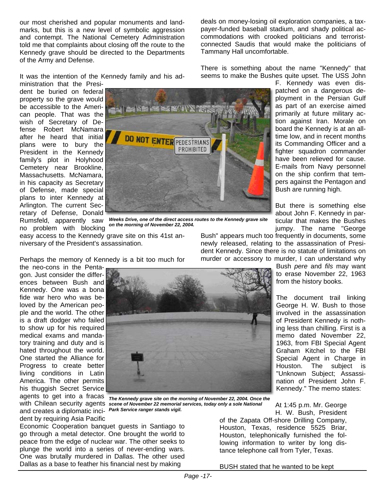our most cherished and popular monuments and landmarks, but this is a new level of symbolic aggression and contempt. The National Cemetery Administration told me that complaints about closing off the route to the Kennedy grave should be directed to the Departments of the Army and Defense.

It was the intention of the Kennedy family and his ad-

ministration that the President be buried on federal property so the grave would be accessible to the American people. That was the wish of Secretary of Defense Robert McNamara after he heard that initial plans were to bury the President in the Kennedy family's plot in Holyhood Cemetery near Brookline, Massachusetts. McNamara, in his capacity as Secretary of Defense, made special plans to inter Kennedy at Arlington. The current Secretary of Defense, Donald no problem with blocking



Rumsfeld, apparently saw *Weeks Drive, one of the direct access routes to the Kennedy grave site on the morning of November 22, 2004.*

easy access to the Kennedy grave site on this 41st anniversary of the President's assassination.

Bush" appears much too frequently in documents, some newly released, relating to the assassination of President Kennedy. Since there is no statute of limitations on murder or accessory to murder, I can understand why

Bush *pere* and *fils* may want to erase November 22, 1963

from the history books.

The document trail linking George H. W. Bush to those involved in the assassination of President Kennedy is nothing less than chilling. First is a memo dated November 22, 1963, from FBI Special Agent Graham Kitchel to the FBI Special Agent in Charge in Houston. The subject is "Unknown Subject; Assassination of President John F. Kennedy." The memo states:

At 1:45 p.m. Mr. George H. W. Bush, President

of the Zapata Off-shore Drilling Company, Houston, Texas, residence 5525 Briar, Houston, telephonically furnished the following information to writer by long distance telephone call from Tyler, Texas.

BUSH stated that he wanted to be kept

Perhaps the memory of Kennedy is a bit too much for

the neo-cons in the Pentagon. Just consider the differences between Bush and Kennedy. One was a bona fide war hero who was beloved by the American people and the world. The other is a draft dodger who failed to show up for his required medical exams and mandatory training and duty and is hated throughout the world. One started the Alliance for Progress to create better living conditions in Latin America. The other permits his thuggish Secret Service agents to get into a fracas and creates a diplomatic inci-*Park Service ranger stands vigil.*dent by requiring Asia Pacific



with Chilean security agents *scene of November 22 memorial services, today only a sole National The Kennedy grave site on the morning of November 22, 2004. Once the* 

Economic Cooperation banquet guests in Santiago to go through a metal detector. One brought the world to peace from the edge of nuclear war. The other seeks to plunge the world into a series of never-ending wars. One was brutally murdered in Dallas. The other used Dallas as a base to feather his financial nest by making

deals on money-losing oil exploration companies, a taxpayer-funded baseball stadium, and shady political accommodations with crooked politicians and terroristconnected Saudis that would make the politicians of Tammany Hall uncomfortable.

There is something about the name "Kennedy" that seems to make the Bushes quite upset. The USS John

F. Kennedy was even dispatched on a dangerous deas part of an exercise aimed primarily at future military action against Iran. Morale on board the Kennedy is at an alltime low, and in recent months its Commanding Officer and a fighter squadron commander have been relieved for cause. E-mails from Navy personnel on the ship confirm that tempers against the Pentagon and Bush are running high.

But there is something else about John F. Kennedy in particular that makes the Bushes jumpy. The name "George

ployment in the Persian Gulf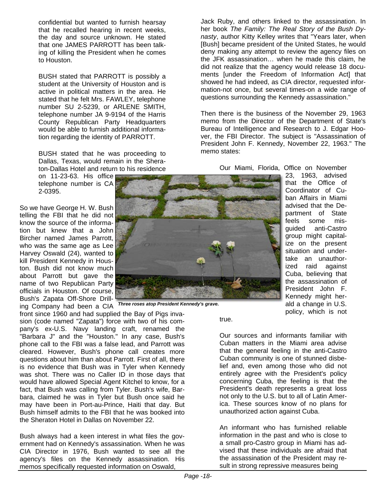confidential but wanted to furnish hearsay that he recalled hearing in recent weeks, the day and source unknown. He stated that one JAMES PARROTT has been talking of killing the President when he comes to Houston.

BUSH stated that PARROTT is possibly a student at the University of Houston and is active in political matters in the area. He stated that he felt Mrs. FAWLEY, telephone number SU 2-5239, or ARLENE SMITH, telephone number JA 9-9194 of the Harris County Republican Party Headquarters would be able to furnish additional information regarding the identity of PARROTT.

BUSH stated that he was proceeding to Dallas, Texas, would remain in the Sheraton-Dallas Hotel and return to his residence

on 11-23-63. His office telephone number is CA 2-0395.

So we have George H. W. Bush telling the FBI that he did not know the source of the information but knew that a John Bircher named James Parrott, who was the same age as Lee Harvey Oswald (24), wanted to kill President Kennedy in Houston. Bush did not know much about Parrott but gave the name of two Republican Party officials in Houston. Of course, Bush's Zapata Off-Shore Drilling Company had been a CIA

front since 1960 and had supplied the Bay of Pigs invasion (code named "Zapata") force with two of his company's ex-U.S. Navy landing craft, renamed the "Barbara J" and the "Houston." In any case, Bush's phone call to the FBI was a false lead, and Parrott was cleared. However, Bush's phone call creates more questions about him than about Parrott. First of all, there is no evidence that Bush was in Tyler when Kennedy was shot. There was no Caller ID in those days that would have allowed Special Agent Kitchel to know, for a fact, that Bush was calling from Tyler. Bush's wife, Barbara, claimed he was in Tyler but Bush once said he may have been in Port-au-Prince, Haiti that day. But Bush himself admits to the FBI that he was booked into the Sheraton Hotel in Dallas on November 22.

Bush always had a keen interest in what files the government had on Kennedy's assassination. When he was CIA Director in 1976, Bush wanted to see all the agency's files on the Kennedy assassination. His memos specifically requested information on Oswald,



*Three roses atop President Kennedy's grave.*

Jack Ruby, and others linked to the assassination. In her book *The Family: The Real Story of the Bush Dynasty*, author Kitty Kelley writes that "Years later, when [Bush] became president of the United States, he would deny making any attempt to review the agency files on the JFK assassination… when he made this claim, he did not realize that the agency would release 18 documents [under the Freedom of Information Act] that showed he had indeed, as CIA director, requested information-not once, but several times-on a wide range of questions surrounding the Kennedy assassination."

Then there is the business of the November 29, 1963 memo from the Director of the Department of State's Bureau of Intelligence and Research to J. Edgar Hoover, the FBI Director. The subject is "Assassination of President John F. Kennedy, November 22, 1963." The memo states:

Our Miami, Florida, Office on November

23, 1963, advised that the Office of Coordinator of Cuban Affairs in Miami advised that the Department of State feels some misguided anti-Castro group might capitalize on the present situation and undertake an unauthorized raid against Cuba, believing that the assassination of President John F. Kennedy might herald a change in U.S. policy, which is not

true.

Our sources and informants familiar with Cuban matters in the Miami area advise that the general feeling in the anti-Castro Cuban community is one of stunned disbelief and, even among those who did not entirely agree with the President's policy concerning Cuba, the feeling is that the President's death represents a great loss not only to the U.S. but to all of Latin America. These sources know of no plans for unauthorized action against Cuba.

An informant who has furnished reliable information in the past and who is close to a small pro-Castro group in Miami has advised that these individuals are afraid that the assassination of the President may result in strong repressive measures being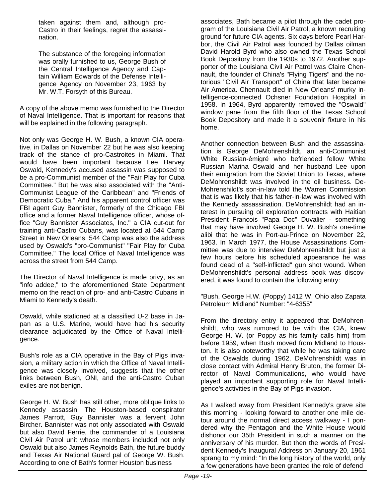taken against them and, although pro-Castro in their feelings, regret the assassination.

The substance of the foregoing information was orally furnished to us, George Bush of the Central Intelligence Agency and Captain William Edwards of the Defense Intelligence Agency on November 23, 1963 by Mr. W.T. Forsyth of this Bureau.

A copy of the above memo was furnished to the Director of Naval Intelligence. That is important for reasons that will be explained in the following paragraph.

Not only was George H. W. Bush, a known CIA operative, in Dallas on November 22 but he was also keeping track of the stance of pro-Castroites in Miami. That would have been important because Lee Harvey Oswald, Kennedy's accused assassin was supposed to be a pro-Communist member of the "Fair Play for Cuba Committee." But he was also associated with the "Anti-Communist League of the Caribbean" and "Friends of Democratic Cuba." And his apparent control officer was FBI agent Guy Bannister, formerly of the Chicago FBI office and a former Naval Intelligence officer, whose office "Guy Bannister Associates, Inc." a CIA cut-out for training anti-Castro Cubans, was located at 544 Camp Street in New Orleans. 544 Camp was also the address used by Oswald's "pro-Communist" "Fair Play for Cuba Committee." The local Office of Naval Intelligence was across the street from 544 Camp.

The Director of Naval Intelligence is made privy, as an "info addee," to the aforementioned State Department memo on the reaction of pro- and anti-Castro Cubans in Miami to Kennedy's death.

Oswald, while stationed at a classified U-2 base in Japan as a U.S. Marine, would have had his security clearance adjudicated by the Office of Naval Intelligence.

Bush's role as a CIA operative in the Bay of Pigs invasion, a military action in which the Office of Naval Intelligence was closely involved, suggests that the other links between Bush, ONI, and the anti-Castro Cuban exiles are not benign.

George H. W. Bush has still other, more oblique links to Kennedy assassin. The Houston-based conspirator James Parrott, Guy Bannister was a fervent John Bircher. Bannister was not only associated with Oswald but also David Ferrie, the commander of a Louisiana Civil Air Patrol unit whose members included not only Oswald but also James Reynolds Bath, the future buddy and Texas Air National Guard pal of George W. Bush. According to one of Bath's former Houston business

associates, Bath became a pilot through the cadet program of the Louisiana Civil Air Patrol, a known recruiting ground for future CIA agents. Six days before Pearl Harbor, the Civil Air Patrol was founded by Dallas oilman David Harold Byrd who also owned the Texas School Book Depository from the 1930s to 1972. Another supporter of the Louisiana Civil Air Patrol was Claire Chennault, the founder of China's "Flying Tigers" and the notorious "Civil Air Transport" of China that later became Air America. Chennault died in New Orleans' murky intelligence-connected Ochsner Foundation Hospital in 1958. In 1964, Byrd apparently removed the "Oswald" window pane from the fifth floor of the Texas School Book Depository and made it a souvenir fixture in his home.

Another connection between Bush and the assassination is George DeMohrenshildt, an anti-Communist White Russian-émigré who befriended fellow White Russian Marina Oswald and her husband Lee upon their emigration from the Soviet Union to Texas, where DeMohrenshildt was involved in the oil business. De-Mohrenshildt's son-in-law told the Warren Commission that is was likely that his father-in-law was involved with the Kennedy assassination. DeMohrenshildt had an interest in pursuing oil exploration contracts with Haitian President Francois "Papa Doc" Duvalier - something that may have involved George H. W. Bush's one-time alibi that he was in Port-au-Prince on November 22, 1963. In March 1977, the House Assassinations Committee was due to interview DeMohrenshildt but just a few hours before his scheduled appearance he was found dead of a "self-inflicted" gun shot wound. When DeMohrenshildt's personal address book was discovered, it was found to contain the following entry:

"Bush, George H.W. (Poppy) 1412 W. Ohio also Zapata Petroleum Midland" Number: "4-6355"

From the directory entry it appeared that DeMohrenshildt, who was rumored to be with the CIA, knew George H. W. (or Poppy as his family calls him) from before 1959, when Bush moved from Midland to Houston. It is also noteworthy that while he was taking care of the Oswalds during 1962, DeMohrenshildt was in close contact with Admiral Henry Bruton, the former Director of Naval Communications, who would have played an important supporting role for Naval Intelligence's activities in the Bay of Pigs invasion.

As I walked away from President Kennedy's grave site this morning - looking forward to another one mile detour around the normal direct access walkway - I pondered why the Pentagon and the White House would dishonor our 35th President in such a manner on the anniversary of his murder. But then the words of President Kennedy's Inaugural Address on January 20, 1961 sprang to my mind: "In the long history of the world, only a few generations have been granted the role of defend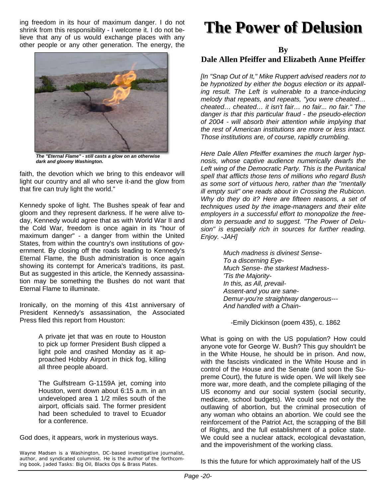ing freedom in its hour of maximum danger. I do not shrink from this responsibility - I welcome it. I do not believe that any of us would exchange places with any other people or any other generation. The energy, the



*The "Eternal Flame" - still casts a glow on an otherwise dark and gloomy Washington.*

faith, the devotion which we bring to this endeavor will light our country and all who serve it-and the glow from that fire can truly light the world."

Kennedy spoke of light. The Bushes speak of fear and gloom and they represent darkness. If he were alive today, Kennedy would agree that as with World War II and the Cold War, freedom is once again in its "hour of maximum danger" - a danger from within the United States, from within the country's own institutions of government. By closing off the roads leading to Kennedy's Eternal Flame, the Bush administration is once again showing its contempt for America's traditions, its past. But as suggested in this article, the Kennedy assassination may be something the Bushes do not want that Eternal Flame to illuminate.

Ironically, on the morning of this 41st anniversary of President Kennedy's assassination, the Associated Press filed this report from Houston:

> A private jet that was en route to Houston to pick up former President Bush clipped a light pole and crashed Monday as it approached Hobby Airport in thick fog, killing all three people aboard.

> The Gulfstream G-1159A jet, coming into Houston, went down about 6:15 a.m. in an undeveloped area 1 1/2 miles south of the airport, officials said. The former president had been scheduled to travel to Ecuador for a conference.

God does, it appears, work in mysterious ways.

Wayne Madsen is a Washington, DC-based investigative journalist, author, and syndicated columnist. He is the author of the forthcoming book, *Jaded Tasks: Big Oil, Blacks Ops & Brass Plates*.

# **The Power of Delusion The Power of Delusion**

**By** 

#### **Dale Allen Pfeiffer and Elizabeth Anne Pfeiffer**

*[In "Snap Out of It," Mike Ruppert advised readers not to be hypnotized by either the bogus election or its appalling result. The Left is vulnerable to a trance-inducing melody that repeats, and repeats, "you were cheated… cheated… cheated… it isn't fair… no fair... no fair." The danger is that this particular fraud - the pseudo-election of 2004 - will absorb their attention while implying that the rest of American institutions are more or less intact. Those institutions are, of course, rapidly crumbling.*

*Here Dale Allen Pfeiffer examines the much larger hypnosis, whose captive audience numerically dwarfs the Left wing of the Democratic Party. This is the Puritanical spell that afflicts those tens of millions who regard Bush as some sort of virtuous hero, rather than the "mentally ill empty suit" one reads about in Crossing the Rubicon. Why do they do it? Here are fifteen reasons, a set of techniques used by the image-managers and their elite employers in a successful effort to monopolize the freedom to persuade and to suggest. "The Power of Delusion" is especially rich in sources for further reading. Enjoy. -JAH]*

> *Much madness is divinest Sense-To a discerning Eye-Much Sense- the starkest Madness- 'Tis the Majority-In this, as All, prevail-Assent-and you are sane-Demur-you're straightway dangerous--- And handled with a Chain-*

-Emily Dickinson (poem 435), c. 1862

What is going on with the US population? How could anyone vote for George W. Bush? This guy shouldn't be in the White House, he should be in prison. And now, with the fascists vindicated in the White House and in control of the House and the Senate (and soon the Supreme Court), the future is wide open. We will likely see more war, more death, and the complete pillaging of the US economy and our social system (social security, medicare, school budgets). We could see not only the outlawing of abortion, but the criminal prosecution of any woman who obtains an abortion. We could see the reinforcement of the Patriot Act, the scrapping of the Bill of Rights, and the full establishment of a police state. We could see a nuclear attack, ecological devastation, and the impoverishment of the working class.

Is this the future for which approximately half of the US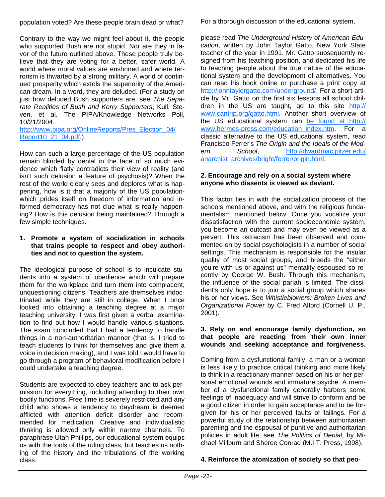population voted? Are these people brain dead or what?

Contrary to the way we might feel about it, the people who supported Bush are not stupid. Nor are they in favor of the future outlined above. These people truly believe that they are voting for a better, safer world. A world where moral values are enshrined and where terrorism is thwarted by a strong military. A world of continued prosperity which extols the superiority of the American dream. In a word, they are deluded. (For a study on just how deluded Bush supporters are, see *The Separate Realities of Bush and Kerry Supporters*, Kull, Steven, et al. The PIPA/Knowledge Networks Poll, 10/21/2004.

http://www.pipa.org/OnlineReports/Pres\_Election\_04/ Report10\_21\_04.pdf.)

How can such a large percentage of the US population remain blinded by denial in the face of so much evidence which flatly contradicts their view of reality (and isn't such delusion a feature of psychosis)? When the rest of the world clearly sees and deplores what is happening, how is it that a majority of the US populationwhich prides itself on freedom of information and informed democracy-has not clue what is really happening? How is this delusion being maintained? Through a few simple techniques.

#### **1. Promote a system of socialization in schools that trains people to respect and obey authorities and not to question the system.**

The ideological purpose of school is to inculcate students into a system of obedience which will prepare them for the workplace and turn them into complacent, unquestioning citizens. Teachers are themselves indoctrinated while they are still in college. When I once looked into obtaining a teaching degree at a major teaching university, I was first given a verbal examination to find out how I would handle various situations. The exam concluded that I had a tendency to handle things in a non-authoritarian manner (that is, I tried to teach students to think for themselves and give them a voice in decision making), and I was told I would have to go through a program of behavioral modification before I could undertake a teaching degree.

Students are expected to obey teachers and to ask permission for everything, including attending to their own bodily functions. Free time is severely restricted and any child who shows a tendency to daydream is deemed afflicted with attention deficit disorder and recommended for medication. Creative and individualistic thinking is allowed only within narrow channels. To paraphrase Utah Phillips, our educational system equips us with the tools of the ruling class, but teaches us nothing of the history and the tribulations of the working class.

For a thorough discussion of the educational system,

please read *The Underground History of American Education*, written by John Taylor Gatto, New York State teacher of the year in 1991. Mr. Gatto subsequently resigned from his teaching position, and dedicated his life to teaching people about the true nature of the educational system and the development of alternatives. You can read his book online or purchase a print copy at http://johntaylorgatto.com/underground/. For a short article by Mr. Gatto on the first six lessons all school children in the US are taught, go to this site http:// www.cantrip.org/gatto.html. Another short overview of the US educational system can be found at http:// www.hermes-press.com/education\_index.htm. For a classic alternative to the US educational system, read Francisco Ferrer's *The Origin and the Ideals of the Modern School*, http://dwardmac.pitzer.edu/ anarchist\_archives/bright/ferrer/origin.html.

#### **2. Encourage and rely on a social system where anyone who dissents is viewed as deviant.**

This factor ties in with the socialization process of the schools mentioned above, and with the religious fundamentalism mentioned below. Once you vocalize your dissatisfaction with the current socioeconomic system, you become an outcast and may even be viewed as a pervert. This ostracism has been observed and commented on by social psychologists in a number of social settings. This mechanism is responsible for the insular quality of most social groups, and breeds the "either you're with us or against us" mentality espoused so recently by George W. Bush. Through this mechanism, the influence of the social pariah is limited. The dissident's only hope is to join a social group which shares his or her views. See *Whistleblowers: Broken Lives and Organizational Power* by C. Fred Alford (Cornell U. P., 2001).

#### **3. Rely on and encourage family dysfunction, so that people are reacting from their own inner wounds and seeking acceptance and forgiveness.**

Coming from a dysfunctional family, a man or a woman is less likely to practice critical thinking and more likely to think in a reactionary manner based on his or her personal emotional wounds and immature psyche. A member of a dysfunctional family generally harbors some feelings of inadequacy and will strive to conform and be a good citizen in order to gain acceptance and to be forgiven for his or her perceived faults or failings. For a powerful study of the relationship between authoritarian parenting and the espousal of punitive and authoritarian policies in adult life, see *The Politics of Denial*, by Michael Millburn and Sheree Conrad (M.I.T. Press, 1998).

#### **4. Reinforce the atomization of society so that peo-**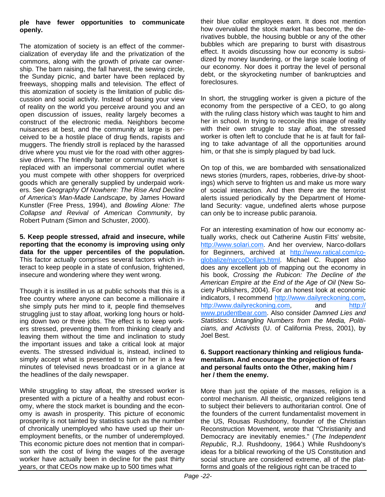#### **ple have fewer opportunities to communicate openly.**

The atomization of society is an effect of the commercialization of everyday life and the privatization of the commons, along with the growth of private car ownership. The barn raising, the fall harvest, the sewing circle, the Sunday picnic, and barter have been replaced by freeways, shopping malls and television. The effect of this atomization of society is the limitation of public discussion and social activity. Instead of basing your view of reality on the world you perceive around you and an open discussion of issues, reality largely becomes a construct of the electronic media. Neighbors become nuisances at best, and the community at large is perceived to be a hostile place of drug fiends, rapists and muggers. The friendly stroll is replaced by the harassed drive where you must vie for the road with other aggressive drivers. The friendly barter or community market is replaced with an impersonal commercial outlet where you must compete with other shoppers for overpriced goods which are generally supplied by underpaid workers. See *Geography Of Nowhere: The Rise And Decline of America's Man-Made Landscape*, by James Howard Kunstler (Free Press, 1994), and *Bowling Alone: The Collapse and Revival of American Community*, by Robert Putnam (Simon and Schuster, 2000).

**5. Keep people stressed, afraid and insecure, while reporting that the economy is improving using only data for the upper percentiles of the population.** This factor actually comprises several factors which interact to keep people in a state of confusion, frightened, insecure and wondering where they went wrong.

Though it is instilled in us at public schools that this is a free country where anyone can become a millionaire if she simply puts her mind to it, people find themselves struggling just to stay afloat, working long hours or holding down two or three jobs. The effect is to keep workers stressed, preventing them from thinking clearly and leaving them without the time and inclination to study the important issues and take a critical look at major events. The stressed individual is, instead, inclined to simply accept what is presented to him or her in a few minutes of televised news broadcast or in a glance at the headlines of the daily newspaper.

While struggling to stay afloat, the stressed worker is presented with a picture of a healthy and robust economy, where the stock market is bounding and the economy is awash in prosperity. This picture of economic prosperity is not tainted by statistics such as the number of chronically unemployed who have used up their unemployment benefits, or the number of underemployed. This economic picture does not mention that in comparison with the cost of living the wages of the average worker have actually been in decline for the past thirty years, or that CEOs now make up to 500 times what

their blue collar employees earn. It does not mention how overvalued the stock market has become, the derivatives bubble, the housing bubble or any of the other bubbles which are preparing to burst with disastrous effect. It avoids discussing how our economy is subsidized by money laundering, or the large scale looting of our economy. Nor does it portray the level of personal debt, or the skyrocketing number of bankruptcies and foreclosures.

In short, the struggling worker is given a picture of the economy from the perspective of a CEO, to go along with the ruling class history which was taught to him and her in school. In trying to reconcile this image of reality with their own struggle to stay afloat, the stressed worker is often left to conclude that he is at fault for failing to take advantage of all the opportunities around him, or that she is simply plagued by bad luck.

On top of this, we are bombarded with sensationalized news stories (murders, rapes, robberies, drive-by shootings) which serve to frighten us and make us more wary of social interaction. And then there are the terrorist alerts issued periodically by the Department of Homeland Security: vague, undefined alerts whose purpose can only be to increase public paranoia.

For an interesting examination of how our economy actually works, check out Catherine Austin Fitts' website, http://www.solari.com. And her overview, Narco-dollars for Beginners, archived at http://www.ratical.com/coglobalize/narcoDollars.html. Michael C. Ruppert also does any excellent job of mapping out the economy in his book, *Crossing the Rubicon: The Decline of the American Empire at the End of the Age of Oil* (New Society Publishers, 2004). For an honest look at economic indicators, I recommend http://www.dailyreckoning.com, http://www.dailyreckoning.com, and http:// www.prudentbear.com. Also consider *Damned Lies and Statistics: Untangling Numbers from the Media, Politicians, and Activists* (U. of California Press, 2001), by Joel Best.

#### **6. Support reactionary thinking and religious fundamentalism. And encourage the projection of fears and personal faults onto the Other, making him / her / them the enemy.**

More than just the opiate of the masses, religion is a control mechanism. All theistic, organized religions tend to subject their believers to authoritarian control. One of the founders of the current fundamentalist movement in the US, Rousas Rushdoony, founder of the Christian Reconstruction Movement, wrote that "Christianity and Democracy are inevitably enemies." (*The Independent Republic*, R.J. Rushdoony, 1964.) While Rushdoony's ideas for a biblical reworking of the US Constitution and social structure are considered extreme, all of the platforms and goals of the religious right can be traced to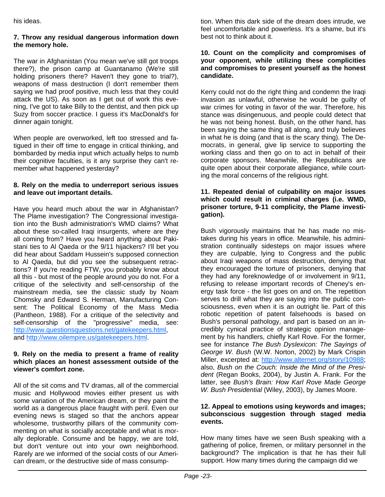his ideas.

#### **7. Throw any residual dangerous information down the memory hole.**

The war in Afghanistan (You mean we've still got troops there?), the prison camp at Guantanamo (We're still holding prisoners there? Haven't they gone to trial?), weapons of mass destruction (I don't remember them saying we had proof positive, much less that they could attack the US). As soon as I get out of work this evening, I've got to take Billy to the dentist, and then pick up Suzy from soccer practice. I guess it's MacDonald's for dinner again tonight.

When people are overworked, left too stressed and fatigued in their off time to engage in critical thinking, and bombarded by media input which actually helps to numb their cognitive faculties, is it any surprise they can't remember what happened yesterday?

#### **8. Rely on the media to underreport serious issues and leave out important details.**

Have you heard much about the war in Afghanistan? The Plame investigation? The Congressional investigation into the Bush administration's WMD claims? What about these so-called Iraqi insurgents, where are they all coming from? Have you heard anything about Pakistani ties to Al Qaeda or the 9/11 hijackers? I'll bet you did hear about Saddam Hussein's supposed connection to Al Qaeda, but did you see the subsequent retractions? If you're reading FTW, you probably know about all this - but most of the people around you do not. For a critique of the selectivity and self-censorship of the mainstream media, see the classic study by Noam Chomsky and Edward S. Herman, Manufacturing Consent: The Political Economy of the Mass Media (Pantheon, 1988). For a critique of the selectivity and self-censorship of the "progressive" media, see: http://www.questionsquestions.net/gatekeepers.html, and http://www.oilempire.us/gatekeepers.html.

#### **9. Rely on the media to present a frame of reality which places an honest assessment outside of the viewer's comfort zone.**

All of the sit coms and TV dramas, all of the commercial music and Hollywood movies either present us with some variation of the American dream, or they paint the world as a dangerous place fraught with peril. Even our evening news is staged so that the anchors appear wholesome, trustworthy pillars of the community commenting on what is socially acceptable and what is morally deplorable. Consume and be happy, we are told, but don't venture out into your own neighborhood. Rarely are we informed of the social costs of our American dream, or the destructive side of mass consumption. When this dark side of the dream does intrude, we feel uncomfortable and powerless. It's a shame, but it's best not to think about it.

#### **10. Count on the complicity and compromises of your opponent, while utilizing these complicities and compromises to present yourself as the honest candidate.**

Kerry could not do the right thing and condemn the Iraqi invasion as unlawful, otherwise he would be guilty of war crimes for voting in favor of the war. Therefore, his stance was disingenuous, and people could detect that he was not being honest. Bush, on the other hand, has been saying the same thing all along, and truly believes in what he is doing (and that is the scary thing). The Democrats, in general, give lip service to supporting the working class and then go on to act in behalf of their corporate sponsors. Meanwhile, the Republicans are quite open about their corporate allegiance, while courting the moral concerns of the religious right.

#### **11. Repeated denial of culpability on major issues which could result in criminal charges (i.e. WMD, prisoner torture, 9-11 complicity, the Plame investigation).**

Bush vigorously maintains that he has made no mistakes during his years in office. Meanwhile, his administration continually sidesteps on major issues where they are culpable, lying to Congress and the public about Iraqi weapons of mass destruction, denying that they encouraged the torture of prisoners, denying that they had any foreknowledge of or involvement in 9/11, refusing to release important records of Cheney's energy task force - the list goes on and on. The repetition serves to drill what they are saying into the public consciousness, even when it is an outright lie. Part of this robotic repetition of patent falsehoods is based on Bush's personal pathology, and part is based on an incredibly cynical practice of strategic opinion management by his handlers, chiefly Karl Rove. For the former, see for instance *The Bush Dyslexicon: The Sayings of George W. Bush* (W.W. Norton, 2002) by Mark Crispin Miller, excerpted at: http://www.alternet.org/story/10988; also, *Bush on the Couch: Inside the Mind of the President* (Regan Books, 2004), by Justin A. Frank. For the latter, see *Bush's Brain: How Karl Rove Made George W. Bush Presidential* (Wiley, 2003), by James Moore.

#### **12. Appeal to emotions using keywords and images; subconscious suggestion through staged media events.**

How many times have we seen Bush speaking with a gathering of police, firemen, or military personnel in the background? The implication is that he has their full support. How many times during the campaign did we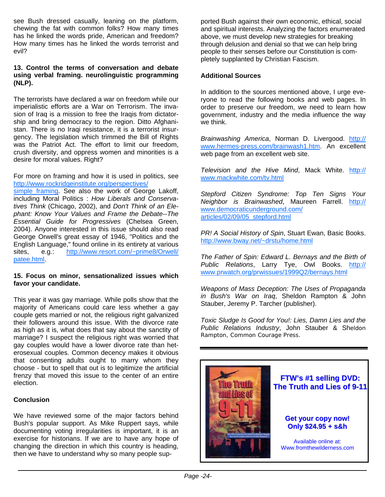see Bush dressed casually, leaning on the platform, chewing the fat with common folks? How many times has he linked the words pride, American and freedom? How many times has he linked the words terrorist and evil?

#### **13. Control the terms of conversation and debate using verbal framing. neurolinguistic programming (NLP).**

The terrorists have declared a war on freedom while our imperialistic efforts are a War on Terrorism. The invasion of Iraq is a mission to free the Iraqis from dictatorship and bring democracy to the region. Ditto Afghanistan. There is no Iraqi resistance, it is a terrorist insurgency. The legislation which trimmed the Bill of Rights was the Patriot Act. The effort to limit our freedom, crush diversity, and oppress women and minorities is a desire for moral values. Right?

For more on framing and how it is used in politics, see http://www.rockridgeinstitute.org/perspectives/

simple framing. See also the work of George Lakoff, including Moral Politics : *How Liberals and Conservatives Think* (Chicago, 2002), and *Don't Think of an Elephant: Know Your Values and Frame the Debate--The Essential Guide for Progressives* (Chelsea Green, 2004). Anyone interested in this issue should also read George Orwell's great essay of 1946, "Politics and the English Language," found online in its entirety at various sites, e.g.: http://www.resort.com/~prime8/Orwell/ patee.html.

#### **15. Focus on minor, sensationalized issues which favor your candidate.**

This year it was gay marriage. While polls show that the majority of Americans could care less whether a gay couple gets married or not, the religious right galvanized their followers around this issue. With the divorce rate as high as it is, what does that say about the sanctity of marriage? I suspect the religious right was worried that gay couples would have a lower divorce rate than heterosexual couples. Common decency makes it obvious that consenting adults ought to marry whom they choose - but to spell that out is to legitimize the artificial frenzy that moved this issue to the center of an entire election.

#### **Conclusion**

We have reviewed some of the major factors behind Bush's popular support. As Mike Ruppert says, while documenting voting irregularities is important, it is an exercise for historians. If we are to have any hope of changing the direction in which this country is heading, then we have to understand why so many people supported Bush against their own economic, ethical, social and spiritual interests. Analyzing the factors enumerated above, we must develop new strategies for breaking through delusion and denial so that we can help bring people to their senses before our Constitution is completely supplanted by Christian Fascism.

#### **Additional Sources**

In addition to the sources mentioned above, I urge everyone to read the following books and web pages. In order to preserve our freedom, we need to learn how government, industry and the media influence the way we think.

*Brainwashing America*, Norman D. Livergood. http:// www.hermes-press.com/brainwash1.htm. An excellent web page from an excellent web site.

*Television and the Hive Mind*, Mack White. http:// www.mackwhite.com/tv.html

*Stepford Citizen Syndrome: Top Ten Signs Your Neighbor is Brainwashed*, Maureen Farrell. http:// www.democraticunderground.com/ articles/02/09/05\_stepford.html

*PR! A Social History of Spin*, Stuart Ewan, Basic Books. http://www.bway.net/~drstu/home.html

*The Father of Spin: Edward L. Bernays and the Birth of Public Relations*, Larry Tye, Owl Books. http:// www.prwatch.org/prwissues/1999Q2/bernays.html

*Weapons of Mass Deception: The Uses of Propaganda in Bush's War on Iraq*, Sheldon Rampton & John Stauber, Jeremy P. Tarcher (publisher).

*Toxic Sludge Is Good for You!: Lies, Damn Lies and the Public Relations Industry*, John Stauber & Sheldon Rampton, Common Courage Press.



**FTW's #1 selling DVD: FTW's #1 selling DVD: The Truth and Lies of 9-11**

#### **Get your copy now! Only \$24.95 + s&h**

Available online at: Www.fromthewilderness.com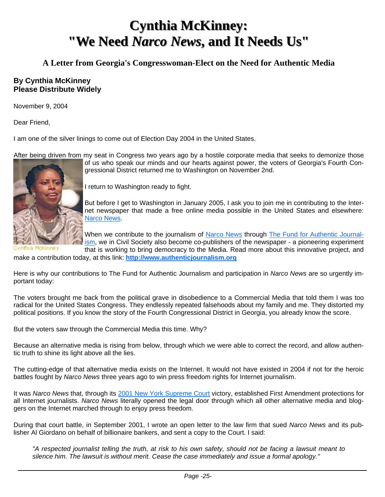## **Cynthia McKinney: Cynthia McKinney:** "We Need Narco News, and It Needs Us"

#### **A Letter from Georgia's Congresswoman-Elect on the Need for Authentic Media**

#### **By Cynthia McKinney Please Distribute Widely**

November 9, 2004

Dear Friend,

I am one of the silver linings to come out of Election Day 2004 in the United States.

After being driven from my seat in Congress two years ago by a hostile corporate media that seeks to demonize those



of us who speak our minds and our hearts against power, the voters of Georgia's Fourth Congressional District returned me to Washington on November 2nd.

I return to Washington ready to fight.

But before I get to Washington in January 2005, I ask you to join me in contributing to the Internet newspaper that made a free online media possible in the United States and elsewhere: Narco News.

When we contribute to the journalism of Narco News through The Fund for Authentic Journalism, we in Civil Society also become co-publishers of the newspaper - a pioneering experiment

iia McKinney that is working to bring democracy to the Media. Read more about this innovative project, and

make a contribution today, at this link: **http://www.authenticjournalism.org**

Here is why our contributions to The Fund for Authentic Journalism and participation in *Narco News* are so urgently important today:

The voters brought me back from the political grave in disobedience to a Commercial Media that told them I was too radical for the United States Congress. They endlessly repeated falsehoods about my family and me. They distorted my political positions. If you know the story of the Fourth Congressional District in Georgia, you already know the score.

But the voters saw through the Commercial Media this time. Why?

Because an alternative media is rising from below, through which we were able to correct the record, and allow authentic truth to shine its light above all the lies.

The cutting-edge of that alternative media exists on the Internet. It would not have existed in 2004 if not for the heroic battles fought by *Narco News* three years ago to win press freedom rights for Internet journalism.

It was *Narco News* that, through its 2001 New York Supreme Court victory, established First Amendment protections for all Internet journalists. *Narco News* literally opened the legal door through which all other alternative media and bloggers on the Internet marched through to enjoy press freedom.

During that court battle, in September 2001, I wrote an open letter to the law firm that sued *Narco News* and its publisher Al Giordano on behalf of billionaire bankers, and sent a copy to the Court. I said:

*"A respected journalist telling the truth, at risk to his own safety, should not be facing a lawsuit meant to silence him. The lawsuit is without merit. Cease the case immediately and issue a formal apology."*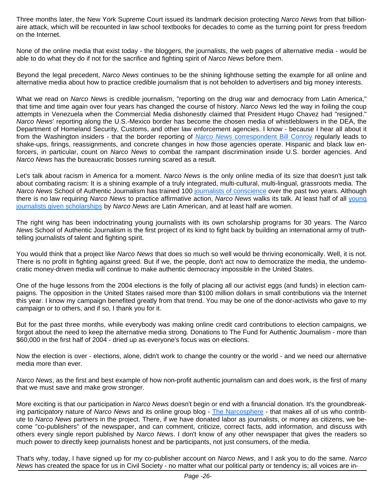Three months later, the New York Supreme Court issued its landmark decision protecting *Narco News* from that billionaire attack, which will be recounted in law school textbooks for decades to come as the turning point for press freedom on the Internet.

None of the online media that exist today - the bloggers, the journalists, the web pages of alternative media - would be able to do what they do if not for the sacrifice and fighting spirit of *Narco News* before them.

Beyond the legal precedent, *Narco News* continues to be the shining lighthouse setting the example for all online and alternative media about how to practice credible journalism that is not beholden to advertisers and big money interests.

What we read on *Narco News* is credible journalism, "reporting on the drug war and democracy from Latin America," that time and time again over four years has changed the course of history. *Narco News* led the way in foiling the coup attempts in Venezuela when the Commercial Media dishonestly claimed that President Hugo Chavez had "resigned." *Narco News*' reporting along the U.S.-Mexico border has become the chosen media of whistleblowers in the DEA, the Department of Homeland Security, Customs, and other law enforcement agencies. I know - because I hear all about it from the Washington insiders - that the border reporting of *Narco News* correspondent Bill Conroy regularly leads to shake-ups, firings, reassignments, and concrete changes in how those agencies operate. Hispanic and black law enforcers, in particular, count on *Narco News* to combat the rampant discrimination inside U.S. border agencies. And *Narco News* has the bureaucratic bosses running scared as a result.

Let's talk about racism in America for a moment. *Narco News* is the only online media of its size that doesn't just talk about combating racism: It is a shining example of a truly integrated, multi-cultural, multi-lingual, grassroots media. The *Narco News* School of Authentic Journalism has trained 100 journalists of conscience over the past two years. Although there is no law requiring *Narco News* to practice affirmative action, *Narco News* walks its talk. At least half of all young journalists given scholarships by *Narco News* are Latin American, and at least half are women.

The right wing has been indoctrinating young journalists with its own scholarship programs for 30 years. The *Narco News* School of Authentic Journalism is the first project of its kind to fight back by building an international army of truthtelling journalists of talent and fighting spirit.

You would think that a project like *Narco News* that does so much so well would be thriving economically. Well, it is not. There is no profit in fighting against greed. But if we, the people, don't act now to democratize the media, the undemocratic money-driven media will continue to make authentic democracy impossible in the United States.

One of the huge lessons from the 2004 elections is the folly of placing all our activist eggs (and funds) in election campaigns. The opposition in the United States raised more than \$100 million dollars in small contributions via the Internet this year. I know my campaign benefited greatly from that trend. You may be one of the donor-activists who gave to my campaign or to others, and if so, I thank you for it.

But for the past three months, while everybody was making online credit card contributions to election campaigns, we forgot about the need to keep the alternative media strong. Donations to The Fund for Authentic Journalism - more than \$60,000 in the first half of 2004 - dried up as everyone's focus was on elections.

Now the election is over - elections, alone, didn't work to change the country or the world - and we need our alternative media more than ever.

*Narco News*, as the first and best example of how non-profit authentic journalism can and does work, is the first of many that we must save and make grow stronger.

More exciting is that our participation in *Narco News* doesn't begin or end with a financial donation. It's the groundbreaking participatory nature of *Narco News* and its online group blog - The Narcosphere - that makes all of us who contribute to *Narco News* partners in the project. There, if we have donated labor as journalists, or money as citizens, we become "co-publishers" of the newspaper, and can comment, criticize, correct facts, add information, and discuss with others every single report published by *Narco News*. I don't know of any other newspaper that gives the readers so much power to directly keep journalists honest and be participants, not just consumers, of the media.

That's why, today, I have signed up for my co-publisher account on *Narco News*, and I ask you to do the same. *Narco News* has created the space for us in Civil Society - no matter what our political party or tendency is; all voices are in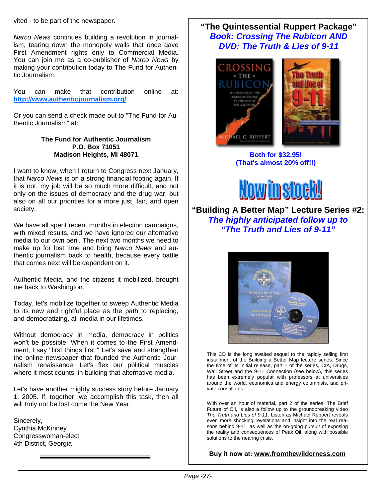vited - to be part of the newspaper.

*Narco News* continues building a revolution in journalism, tearing down the monopoly walls that once gave First Amendment rights only to Commercial Media. You can join me as a co-publisher of *Narco News* by making your contribution today to The Fund for Authentic Journalism.

You can make that contribution online at: **http://www.authenticjournalism.org/**

Or you can send a check made out to "The Fund for Authentic Journalism" at:

#### **The Fund for Authentic Journalism P.O. Box 71051 Madison Heights, MI 48071**

I want to know, when I return to Congress next January, that *Narco News* is on a strong financial footing again. If it is not, my job will be so much more difficult, and not only on the issues of democracy and the drug war, but also on all our priorities for a more just, fair, and open society.

We have all spent recent months in election campaigns, with mixed results, and we have ignored our alternative media to our own peril. The next two months we need to make up for lost time and bring *Narco News* and authentic journalism back to health, because every battle that comes next will be dependent on it.

Authentic Media, and the citizens it mobilized, brought me back to Washington.

Today, let's mobilize together to sweep Authentic Media to its new and rightful place as the path to replacing, and democratizing, all media in our lifetimes.

Without democracy in media, democracy in politics won't be possible. When it comes to the First Amendment, I say "first things first." Let's save and strengthen the online newspaper that founded the Authentic Journalism renaissance. Let's flex our political muscles where it most counts: in building that alternative media.

Let's have another mighty success story before January 1, 2005. If, together, we accomplish this task, then all will truly not be lost come the New Year.

Sincerely, Cynthia McKinney Congresswoman-elect 4th District, Georgia

#### **"The Quintessential Ruppert Package"**  *Book: Crossing The Rubicon AND DVD: The Truth & Lies of 9-11*



**Both for \$32.95! (That's almost 20% off!!)** 



**"Building A Better Map" Lecture Series #2:**  *The highly anticipated follow up to "The Truth and Lies of 9-11"*



This CD is the long awaited sequel to the rapidly selling first installment of the Building a Better Map lecture series. Since the time of its initial release, part 1 of the series, CIA, Drugs, Wall Street and the 9-11 Connection (see below), this series has been extremely popular with professors at universities around the world, economics and energy columnists, and private consultants.

With over an hour of material, part 2 of the series, The Brief Future of Oil, is also a follow up to the groundbreaking video *The Truth and Lies of 9-11*. Listen as Michael Ruppert reveals even more shocking revelations and insight into the real reasons behind 9-11, as well as the on-going pursuit of exposing the reality and consequences of Peak Oil, along with possible solutions to the nearing crisis.

#### **Buy it now at: www.fromthewilderness.com**